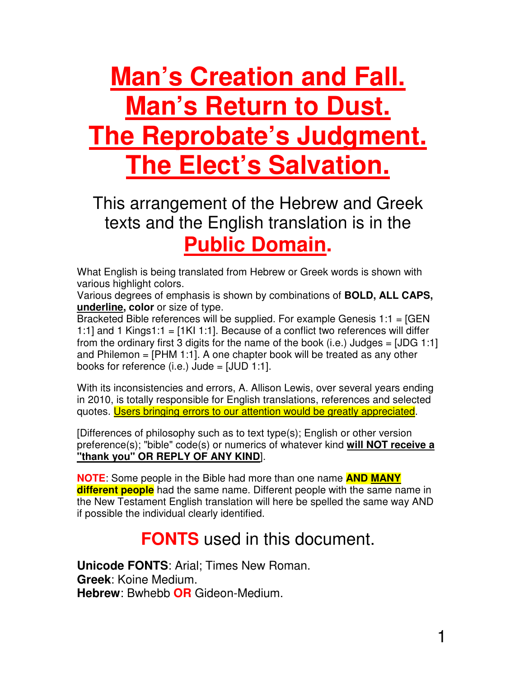# **Man's Creation and Fall. Man's Return to Dust. The Reprobate's Judgment. The Elect's Salvation.**

#### This arrangement of the Hebrew and Greek texts and the English translation is in the **Public Domain.**

What English is being translated from Hebrew or Greek words is shown with various highlight colors.

Various degrees of emphasis is shown by combinations of **BOLD, ALL CAPS, underline, color** or size of type.

Bracketed Bible references will be supplied. For example Genesis 1:1 = [GEN 1:1] and 1 Kings1:1 = [1KI 1:1]. Because of a conflict two references will differ from the ordinary first 3 digits for the name of the book (i.e.) Judges =  $[JDG 1:1]$ and Philemon  $=$  [PHM 1:1]. A one chapter book will be treated as any other books for reference (i.e.) Jude =  $[JUD 1:1]$ .

With its inconsistencies and errors, A. Allison Lewis, over several years ending in 2010, is totally responsible for English translations, references and selected quotes. Users bringing errors to our attention would be greatly appreciated.

[Differences of philosophy such as to text type(s); English or other version preference(s); "bible" code(s) or numerics of whatever kind **will NOT receive a "thank you" OR REPLY OF ANY KIND**].

**NOTE**: Some people in the Bible had more than one name **AND MANY different people** had the same name. Different people with the same name in the New Testament English translation will here be spelled the same way AND if possible the individual clearly identified.

### **FONTS** used in this document.

**Unicode FONTS**: Arial; Times New Roman. **Greek**: Koine Medium. **Hebrew**: Bwhebb **OR** Gideon-Medium.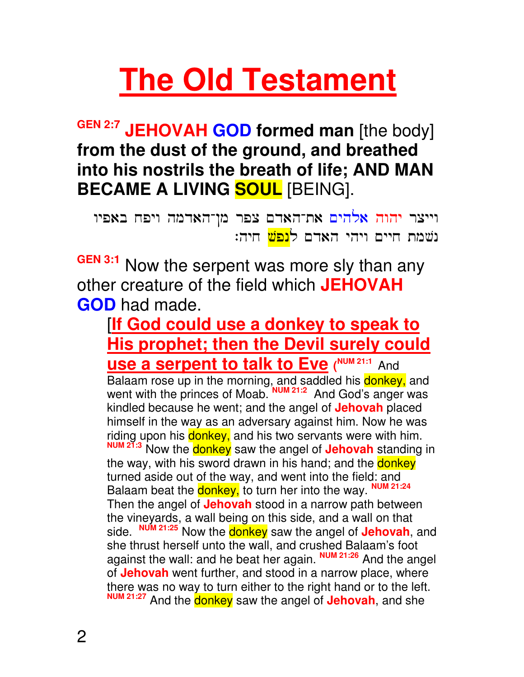# **The Old Testament**

**GEN 2:7 JEHOVAH GOD formed man** [the body] **from the dust of the ground, and breathed into his nostrils the breath of life; AND MAN BECAME A LIVING SOUL** [BEING].

```
וייצר יהוה אלהים את־האדם צפר מן־האדמה ויפח באפיו
                       נשמת חיים ויהי האדם ל<mark>נפש</mark> חיה:
```
**GEN 3:1** Now the serpent was more sly than any other creature of the field which **JEHOVAH GOD** had made.

**If God could use a donkey to speak to His prophet; then the Devil surely could use a serpent to talk to Eve (NUM 21:1 And** Balaam rose up in the morning, and saddled his donkey, and went with the princes of Moab. **NUM 21:2** And God's anger was kindled because he went; and the angel of **Jehovah** placed himself in the way as an adversary against him. Now he was riding upon his donkey, and his two servants were with him. **NUM 21:3** Now the donkey saw the angel of **Jehovah** standing in the way, with his sword drawn in his hand; and the **donkey** turned aside out of the way, and went into the field: and Balaam beat the **donkey**, to turn her into the way. NUM 21:24 Then the angel of **Jehovah** stood in a narrow path between the vineyards, a wall being on this side, and a wall on that side. **NUM 21:25** Now the donkey saw the angel of **Jehovah**, and she thrust herself unto the wall, and crushed Balaam's foot against the wall: and he beat her again. **NUM 21:26** And the angel of **Jehovah** went further, and stood in a narrow place, where there was no way to turn either to the right hand or to the left. **NUM 21:27** And the **donkey** saw the angel of **Jehovah**, and she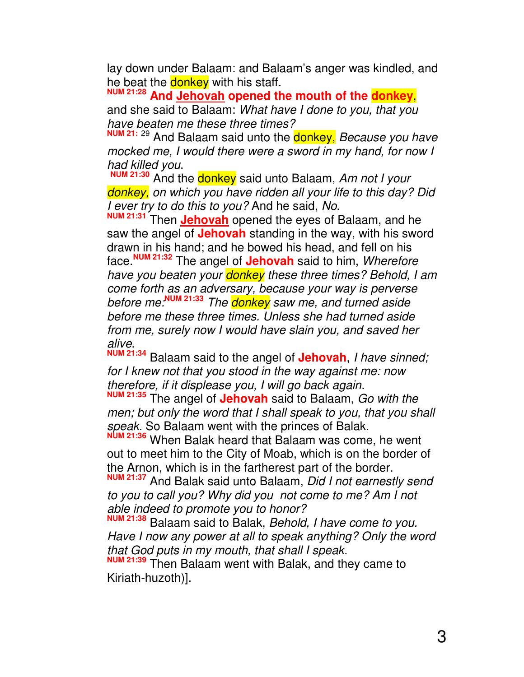lay down under Balaam: and Balaam's anger was kindled, and he beat the **donkey** with his staff.

**NUM 21:28 And Jehovah opened the mouth of the donkey**, and she said to Balaam: What have I done to you, that you have beaten me these three times?

NUM 21: 29 And Balaam said unto the **donkey**, Because you have mocked me, I would there were a sword in my hand, for now I had killed you.

**NUM 21:30** And the donkey said unto Balaam, Am not I your donkey, on which you have ridden all your life to this day? Did I ever try to do this to you? And he said, No.

**NUM 21:31** Then **Jehovah** opened the eyes of Balaam, and he saw the angel of **Jehovah** standing in the way, with his sword drawn in his hand; and he bowed his head, and fell on his face.**NUM 21:32** The angel of **Jehovah** said to him, Wherefore have you beaten your donkey these three times? Behold, I am come forth as an adversary, because your way is perverse before me:**NUM 21:33** The donkey saw me, and turned aside before me these three times. Unless she had turned aside from me, surely now I would have slain you, and saved her alive.

**NUM 21:34** Balaam said to the angel of **Jehovah**, I have sinned; for I knew not that you stood in the way against me: now therefore, if it displease you, I will go back again.

**NUM 21:35** The angel of **Jehovah** said to Balaam, Go with the men; but only the word that I shall speak to you, that you shall speak. So Balaam went with the princes of Balak.

**NUM 21:36** When Balak heard that Balaam was come, he went out to meet him to the City of Moab, which is on the border of the Arnon, which is in the fartherest part of the border.

**NUM 21:37** And Balak said unto Balaam, Did I not earnestly send to you to call you? Why did you not come to me? Am I not able indeed to promote you to honor?

**NUM 21:38** Balaam said to Balak, Behold, I have come to you. Have I now any power at all to speak anything? Only the word that God puts in my mouth, that shall I speak.

**NUM 21:39** Then Balaam went with Balak, and they came to Kiriath-huzoth)].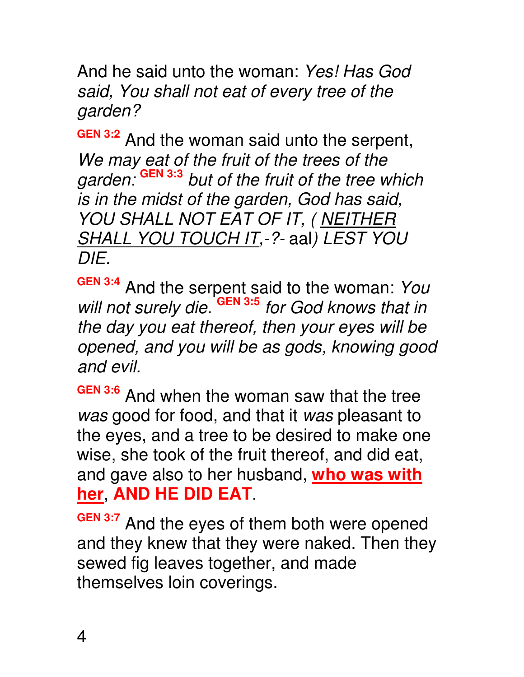And he said unto the woman: Yes! Has God said, You shall not eat of every tree of the garden?

**GEN 3:2** And the woman said unto the serpent, We may eat of the fruit of the trees of the garden: **GEN 3:3** but of the fruit of the tree which is in the midst of the garden, God has said, YOU SHALL NOT EAT OF IT, ( NEITHER SHALL YOU TOUCH IT, -?- aal) LEST YOU DIE.

GEN 3:4 And the serpent said to the woman: You will not surely die.<sup>'GEN 3:5</sup> for God knows that in the day you eat thereof, then your eyes will be opened, and you will be as gods, knowing good and evil.

**GEN 3:6** And when the woman saw that the tree was good for food, and that it was pleasant to the eyes, and a tree to be desired to make one wise, she took of the fruit thereof, and did eat, and gave also to her husband, **who was with her**, **AND HE DID EAT**.

**GEN 3:7** And the eyes of them both were opened and they knew that they were naked. Then they sewed fig leaves together, and made themselves loin coverings.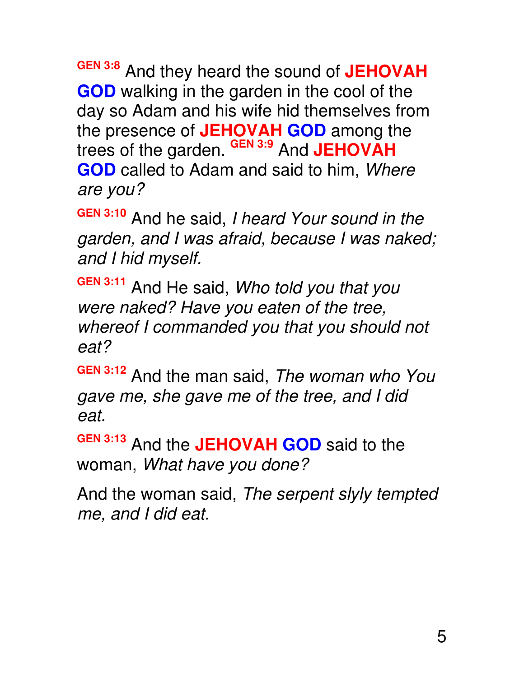**GEN 3:8** And they heard the sound of **JEHOVAH GOD** walking in the garden in the cool of the day so Adam and his wife hid themselves from the presence of **JEHOVAH GOD** among the trees of the garden. **GEN 3:9** And **JEHOVAH GOD** called to Adam and said to him, Where are you?

**GEN 3:10** And he said, I heard Your sound in the garden, and I was afraid, because I was naked; and I hid myself.

**GEN 3:11** And He said, Who told you that you were naked? Have you eaten of the tree, whereof I commanded you that you should not eat?

**GEN 3:12** And the man said, The woman who You gave me, she gave me of the tree, and I did eat.

**GEN 3:13** And the **JEHOVAH GOD** said to the woman, What have you done?

And the woman said, The serpent slyly tempted me, and I did eat.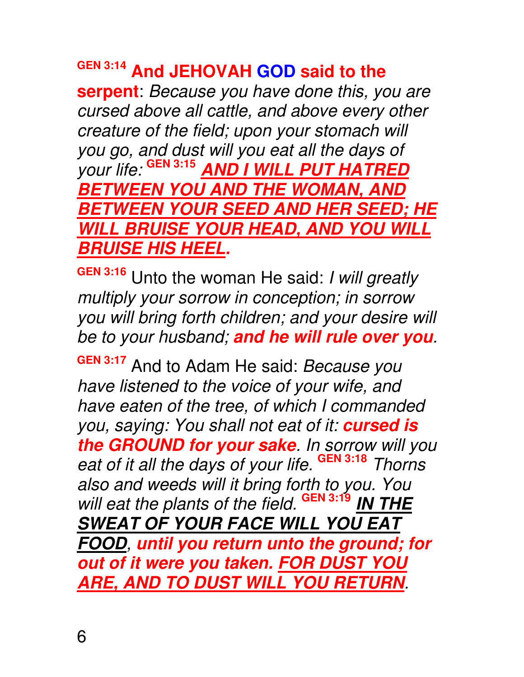## **GEN 3:14 And JEHOVAH GOD said to the**

**serpent**: Because you have done this, you are cursed above all cattle, and above every other creature of the field; upon your stomach will you go, and dust will you eat all the days of your life: GEN 3:15 AND I WILL PUT HATRED your life: **GEN 3:15 AND I WILL PUT HATRED BETWEEN YOU AND THE WOMAN, AND BETWEEN YOUR SEED AND HER SEED; HE L BRUISE YOUR HEAD, AND YOU WI BRUISE HIS HEEL.**

GEN 3:16 Unto the woman He said: I will greatly multiply your sorrow in conception; in sorrow you will bring forth children; and your desire will be to your husband; **and he will rule over you**.

**GEN 3:17** And to Adam He said: Because you have listened to the voice of your wife, and have eaten of the tree, of which I commanded you, saying: You shall not eat of it: **cursed is the GROUND for your sake**. In sorrow will you eat of it all the days of your life. **GEN 3:18** Thorns also and weeds will it bring forth to you. You will eat the plants of the field. **GEN 3:19 IN THE SWEAT OF YOUR FACE WILL YOU EAT FOOD**, **until you return unto the ground; for out of it were you taken. FOR DUST YOU ARE, AND TO DUST WILL YOU RETUR.**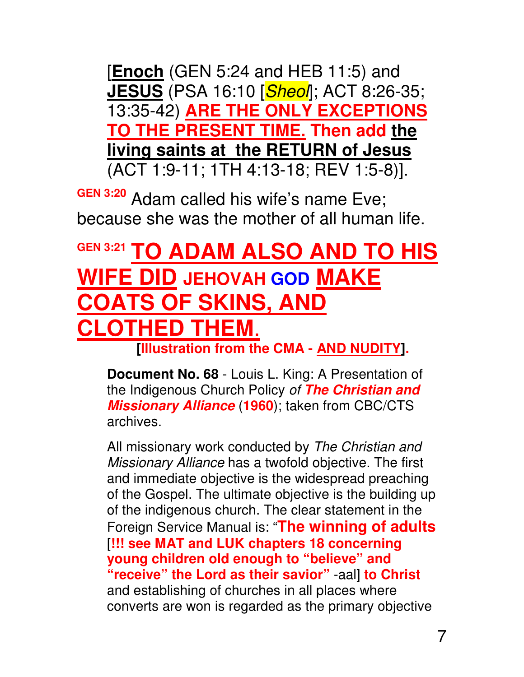[**Enoch** (GEN 5:24 and HEB 11:5) and **JESUS** (PSA 16:10 [Sheol]; ACT 8:26-35; 13:35-42) **ARE THE ONLY EXCEPTIONS TO THE PRESENT TIME. Then add the living saints at the RETURN of Jesus** (ACT 1:9-11; 1TH 4:13-18; REV 1:5-8)].

**GEN 3:20** Adam called his wife's name Eve; because she was the mother of all human life.

# **GEN 3:21 TO ADAM ALSO AND TO HIS WIFE DID JEHOVAH GOD MAKE COATS AND CLOTHED THEM**.

**[Illustration from the CMA - AND NUDITY].** 

**Document No. 68** - Louis L. King: A Presentation of the Indigenous Church Policy of **The Christian and Missionary Alliance** (**1960**); taken from CBC/CTS archives.

All missionary work conducted by The Christian and Missionary Alliance has a twofold objective. The first and immediate objective is the widespread preaching of the Gospel. The ultimate objective is the building up of the indigenous church. The clear statement in the Foreign Service Manual is: "**The winning of adults** [**!!! see MAT and LUK chapters 18 concerning young children old enough to "believe" and "receive" the Lord as their savior"** -aal] **to Christ** and establishing of churches in all places where converts are won is regarded as the primary objective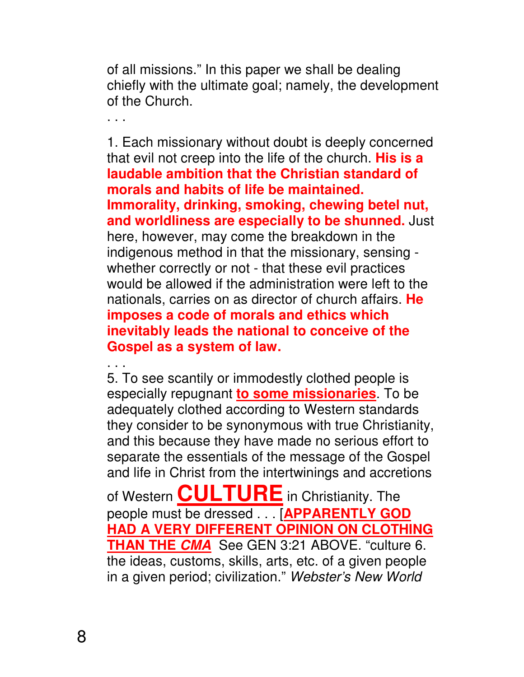of all missions." In this paper we shall be dealing chiefly with the ultimate goal; namely, the development of the Church.

. . .

1. Each missionary without doubt is deeply concerned that evil not creep into the life of the church. **His is a laudable ambition that the Christian standard of morals and habits of life be maintained. Immorality, drinking, smoking, chewing betel nut, and worldliness are especially to be shunned.** Just here, however, may come the breakdown in the indigenous method in that the missionary, sensing whether correctly or not - that these evil practices would be allowed if the administration were left to the nationals, carries on as director of church affairs. **He imposes a code of morals and ethics which inevitably leads the national to conceive of the Gospel as a system of law.**

. . .

5. To see scantily or immodestly clothed people is especially repugnant **to some missionaries**. To be adequately clothed according to Western standards they consider to be synonymous with true Christianity, and this because they have made no serious effort to separate the essentials of the message of the Gospel and life in Christ from the intertwinings and accretions

of Western **CULTURE** in Christianity. The people must be dressed . . . [**APPARENTLY GOD HAD A VERY DIFFERENT OPINION ON CLOTHING THAN THE CMA** See GEN 3:21 ABOVE. "culture 6. the ideas, customs, skills, arts, etc. of a given people in a given period; civilization." Webster's New World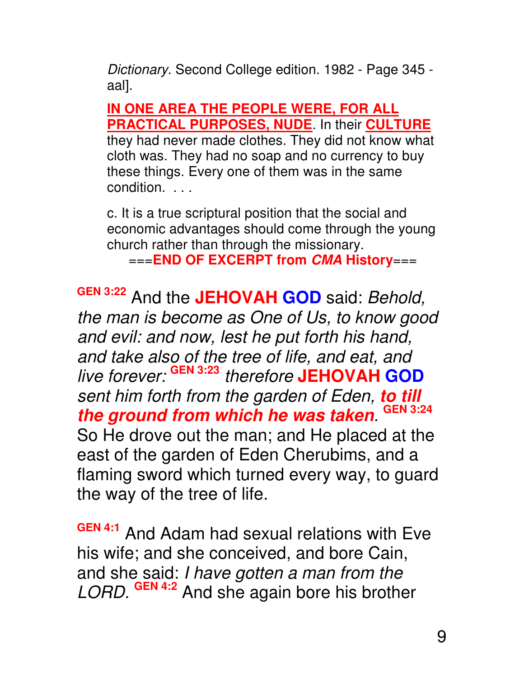Dictionary. Second College edition. 1982 - Page 345 aal].

**IN ONE AREA THE PEOPLE WERE, FOR ALL PRACTICAL PURPOSES, NUDE**. In their **CULTURE** they had never made clothes. They did not know what cloth was. They had no soap and no currency to buy these things. Every one of them was in the same condition. . . .

c. It is a true scriptural position that the social and economic advantages should come through the young church rather than through the missionary. ===**END OF EXCERPT from CMA History**===

**GEN 3:22** And the **JEHOVAH GOD** said: Behold, the man is become as One of Us, to know good and evil: and now, lest he put forth his hand, and take also of the tree of life, and eat, and live forever: **GEN 3:23** therefore **JEHOVAH GOD** sent him forth from the garden of Eden, **to till the ground from which he was taken**. **GEN 3:24** So He drove out the man; and He placed at the east of the garden of Eden Cherubims, and a flaming sword which turned every way, to guard the way of the tree of life.

**GEN 4:1** And Adam had sexual relations with Eve his wife; and she conceived, and bore Cain, and she said: I have gotten a man from the LORD. **GEN 4:2** And she again bore his brother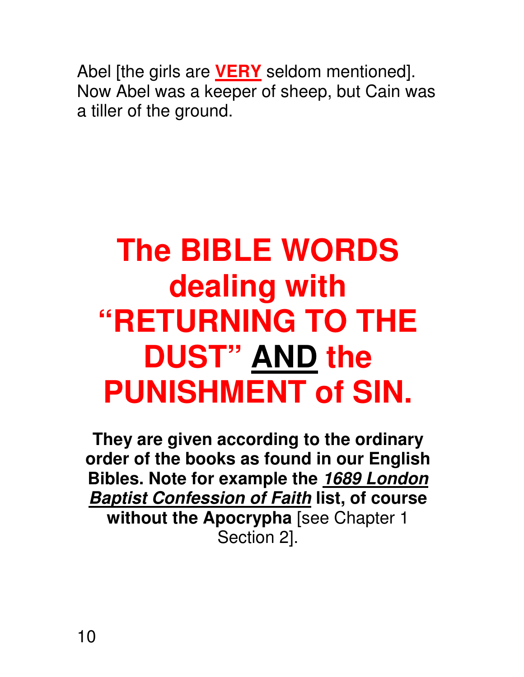Abel [the girls are **VERY** seldom mentioned]. Now Abel was a keeper of sheep, but Cain was a tiller of the ground.

# **The BIBLE WORDS dealing with "RETURNING TO THE DUST" AND the PUNISHMENT of SIN.**

**They are given according to the ordinary order of the books as found in our English Bibles. Note for example the 1689 London Baptist Confession of Faith list, of course without the Apocrypha** [see Chapter 1 Section 2].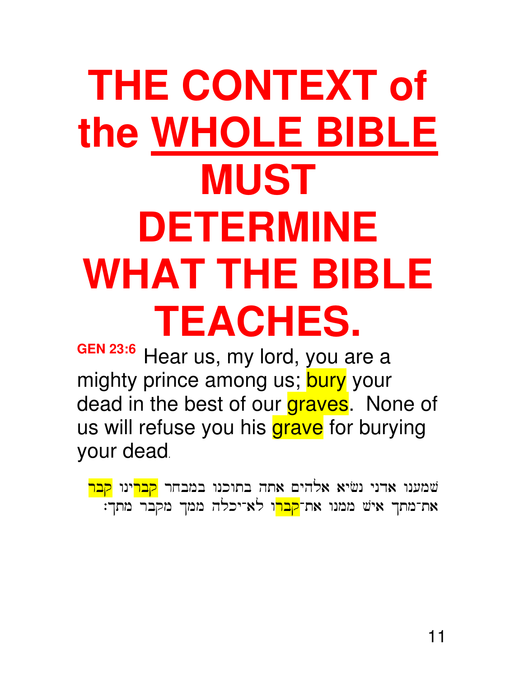# **THE CONTEXT of the WHOLE BIBLE MUST DETERMINE WHAT THE BIBLE TEACHES.**

**GEN 23:6** Hear us, my lord, you are a mighty prince among us; bury your dead in the best of our graves. None of us will refuse you his grave for burying your dead.

שמענו אדני נשׂיא אלהים אתה בתוכנו במבחר <mark>קבר</mark>ינו <mark>קבר</mark> את־מתך אישׁ ממנו את־<mark>קבר</mark>ו לא־יכלה ממך מקבר מתך: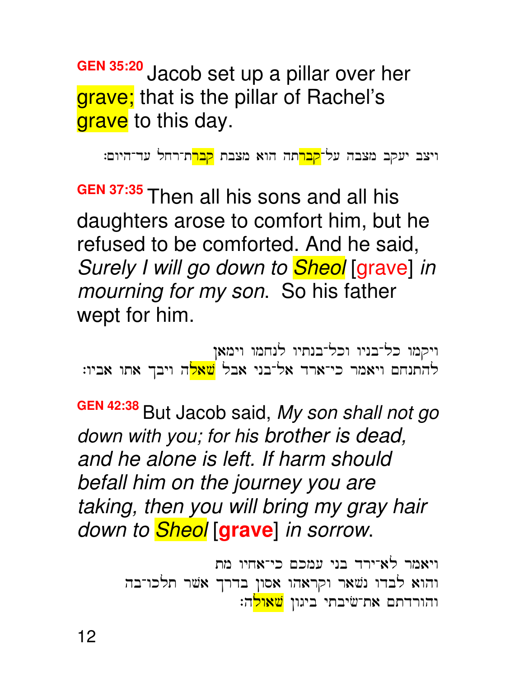**GEN 35:20** Jacob set up a pillar over her grave; that is the pillar of Rachel's grave to this day.

ויצב יעקב מצבה על־<mark>קבר</mark>תה הוא מצבת <mark>קבר</mark>ת־רחל עד־היום:

**GEN 37:35** Then all his sons and all his daughters arose to comfort him, but he refused to be comforted. And he said, Surely I will go down to **Sheol** [grave] in mourning for my son. So his father wept for him.

ויקמו כל־בניו וכל־בנתיו לנחמו וימאן להתנחם ויאמר כי־ארד אל־בני אבל <mark>שאל</mark>ה ויבך אתו אביו:

**GEN 42:38** But Jacob said, My son shall not go down with you; for his brother is dead, and he alone is left. If harm should befall him on the journey you are taking, then you will bring my gray hair down to Sheol [**grave**] in sorrow.

> ויאמר לא־ירד בני עמכם כי־אחיו מת והוא לבדו נשאר וקראהו אסון בדרך אשר תלכו־בה והורדתם את־שׂיבתי ביגון <mark>שאול</mark>ה: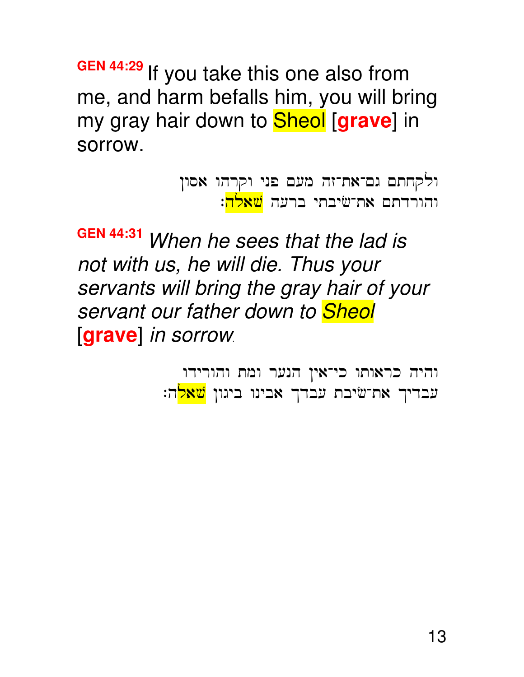**GEN 44:29** If you take this one also from me, and harm befalls him, you will bring my gray hair down to Sheol [**grave**] in sorrow.

> ולקחתם גם־את־זה מעם פני וקרהו אסון והורדתם את־שיבתי ברעה <mark>שאלה</mark>:

**GEN 44:31** When he sees that the lad is not with us, he will die. Thus your servants will bring the gray hair of your servant our father down to **Sheol** [**grave**] in sorrow.

> והיה כראותו כי־אין הנער ומת והורידו עבדיך את־שׂיבת עבדך אבינו ביגון <mark>שאל</mark>ה: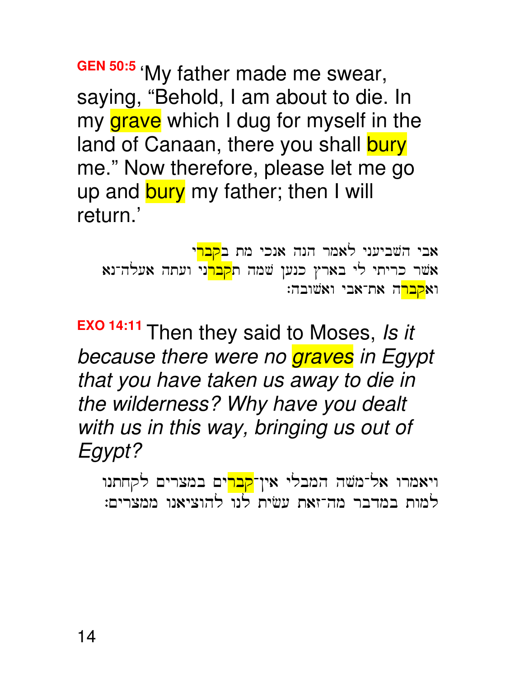**GEN 50:5** 'My father made me swear, saying, "Behold, I am about to die. In my grave which I dug for myself in the land of Canaan, there you shall bury me." Now therefore, please let me go up and bury my father; then I will return.'

אבי השביעני לאמר הנה אנכי מת ב<mark>קבר</mark>י אשר כריתי לי בארץ כנען שמה ת<mark>קבר</mark>ני ועתה אעלה־נא וא<mark>קבר</mark>ה את־אבי ואשובה:

**EXO 14:11** Then they said to Moses, Is it because there were no graves in Egypt that you have taken us away to die in the wilderness? Why have you dealt with us in this way, bringing us out of Egypt?

ויאמרו אל־משה המבלי אין־<mark>קבר</mark>ים במצרים לקחתנו למות במדבר מה־זאת עשית לנו להוציאנו ממצרים: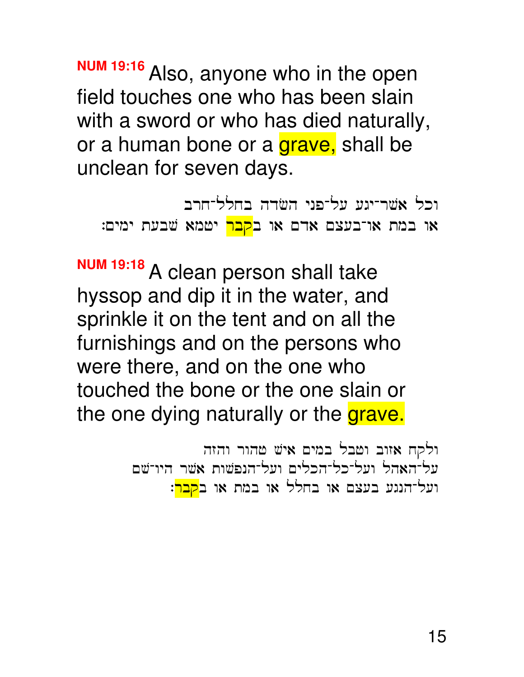**NUM 19:16** Also, anyone who in the open field touches one who has been slain with a sword or who has died naturally, or a human bone or a grave, shall be unclean for seven days.

וכל אשר־יגע על־פני השרה בחלל־חרב או במת או־בעצם אדם או ב<mark>קבר</mark> יטמא שבעת ימים:

**NUM 19:18** A clean person shall take hyssop and dip it in the water, and sprinkle it on the tent and on all the furnishings and on the persons who were there, and on the one who touched the bone or the one slain or the one dying naturally or the grave.

> ולקח אזוב וטבל במים איש טהור והזה על־האהל ועל־כל־הכלים ועל־הנפשות אשר היו־שם ועל־הנגע בעצם או בחלל או במת או ב<mark>קבר</mark>: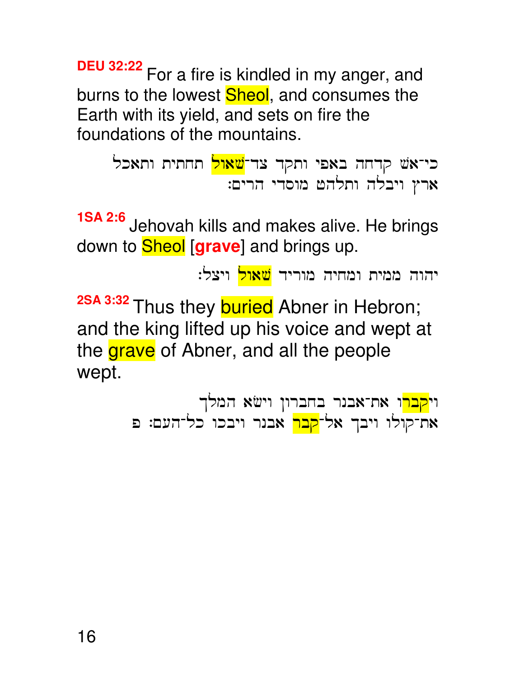**DEU 32:22** For a fire is kindled in my anger, and burns to the lowest **Sheol**, and consumes the Earth with its yield, and sets on fire the foundations of the mountains.

כי־אש קדחה באפי ותקד צד־<mark>שאול</mark> תחתית ותאכל ארץ ויבלה ותלהט מוסדי הרים:

**1SA 2:6** Jehovah kills and makes alive. He brings down to Sheol [**grave**] and brings up.

יהוה ממית ומחיה מוריד <mark>שאול</mark> ויצל:

2SA 3:32 Thus they **buried** Abner in Hebron; and the king lifted up his voice and wept at the grave of Abner, and all the people wept.

> וי<mark>קבר</mark>ו את־אבנר בחברון וישׂא המלך את־קולו ויבך אל־<mark>קבר</mark> אבנר ויבכו כל־העם: פ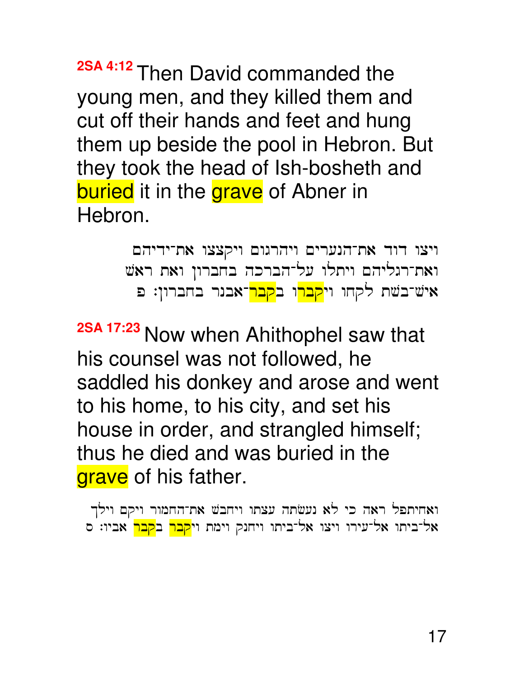**2SA 4:12** Then David commanded the young men, and they killed them and cut off their hands and feet and hung them up beside the pool in Hebron. But they took the head of Ish-bosheth and buried it in the grave of Abner in Hebron.

> $r$ ויצו דוד את־הנערים ויהרגום ויקצצו ואת־רגליהם ויתלו על־הברכה בחברון ואת ראש איש־בשת לקחו וי<mark>קבר</mark>ו ב<mark>קבר</mark>־אבנר בחברון: פ

**2SA 17:23** Now when Ahithophel saw that his counsel was not followed, he saddled his donkey and arose and went to his home, to his city, and set his house in order, and strangled himself; thus he died and was buried in the grave of his father.

ואחיתפל ראה כי לא נעשתה עצתו ויחבש את־החמור ויקם וילך אל־ביתו אל־עירו ויצו אל־ביתו ויחנק וימת וי<mark>קבר</mark> ב<mark>קבר</mark> אביו: ס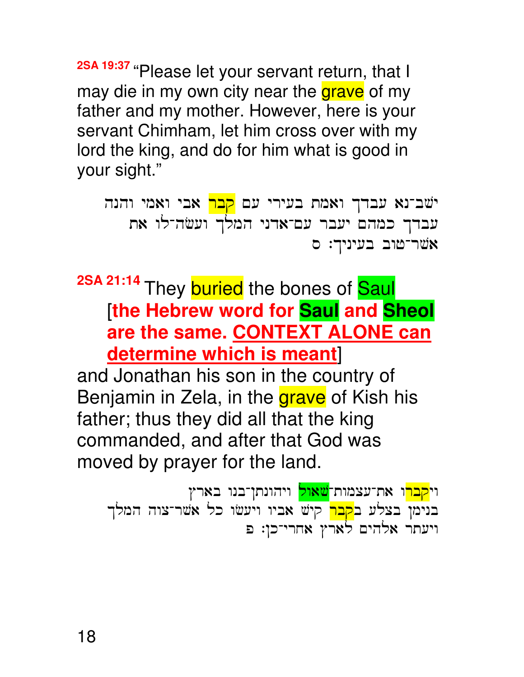**2SA 19:37** "Please let your servant return, that I may die in my own city near the grave of my father and my mother. However, here is your servant Chimham, let him cross over with my lord the king, and do for him what is good in your sight."

ישב־נא עבדך ואמת בעירי עם <mark>קבר</mark> אבי ואמי והנה עבדך כמהם יעבר עם־אדני המלך ועשׂה־לו את  $\circ$  בעיניך: שמר־טוב

2SA 21:14 They **buried** the bones of **Saul** [**the Hebrew word for Saul and Sheol are the same. CONTEXT ALONE can determine which is meant**]

and Jonathan his son in the country of Benjamin in Zela, in the **grave** of Kish his father; thus they did all that the king commanded, and after that God was moved by prayer for the land.

וי<mark>קבר</mark>ו את־עצמות־<mark>שאול</mark> ויהונתן־בנו בארץ בנימן בצלע ב<mark>קבר</mark> קיש אביו ויעשו כל אשר־צוה המלך ויעתר אלהים לארץ אחרי־כן: פ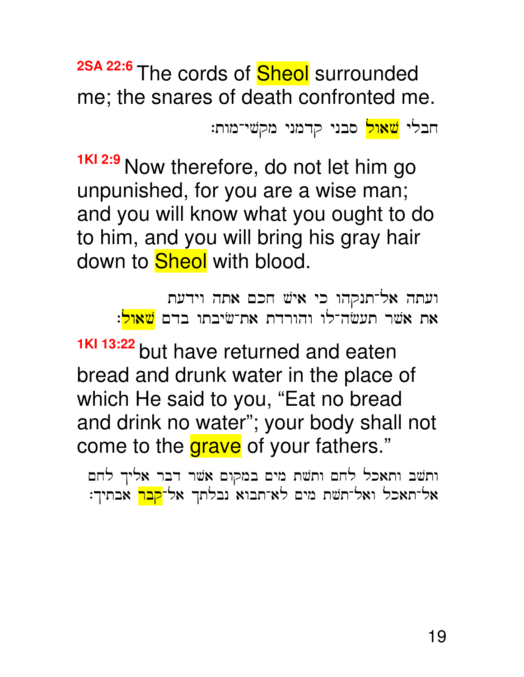2SA 22:6 The cords of **Sheol** surrounded me; the snares of death confronted me.

חבלי <mark>שאול</mark> סבני קדמני מקשי־מות:

**1KI 2:9** Now therefore, do not let him go unpunished, for you are a wise man; and you will know what you ought to do to him, and you will bring his gray hair down to **Sheol** with blood.

> ועתה אל־תנקהו כי אישׁ חכם אתה וידעת את אשר תעשה־לו והורדת את־שיבתו בדם <mark>שאול</mark>:

**1KI 13:22** but have returned and eaten bread and drunk water in the place of which He said to you, "Eat no bread and drink no water"; your body shall not come to the grave of your fathers."

ותשב ותאכל לחם ותשת מים במקום אשר דבר אליך לחם אל־תאכל ואל־תשת מים לא־תבוא נבלתך אל־<mark>קבר</mark> אבתיך: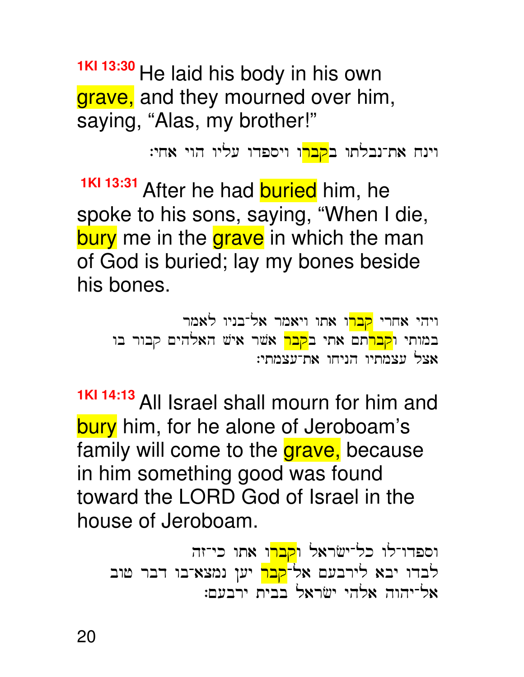**1KI 13:30** He laid his body in his own grave, and they mourned over him, saying, "Alas, my brother!"

וינח את־נבלתו ב<mark>קבר</mark>ו ויספדו עליו הוי אחי:

1KI 13:31 After he had **buried** him, he spoke to his sons, saying, "When I die, bury me in the grave in which the man of God is buried; lay my bones beside his bones.

ויהי אחרי <mark>קבר</mark>ו אתו ויאמר אל־בניו לאמר במותי ו<mark>קבר</mark>תם אתי ב<mark>קבר</mark> אשר איש האלהים קבור בו אצל עצמתיו הניחו את־עצמתי:

**1KI 14:13** All Israel shall mourn for him and bury him, for he alone of Jeroboam's family will come to the grave, because in him something good was found toward the LORD God of Israel in the house of Jeroboam.

וספדו־לו כל־ישׂראל ו<mark>קבר</mark>ו אתו כי־זה לבדו יבא לירבעם אל־<mark>קבר</mark> יען נמצא־בו דבר טוב אל־יהוה אלהי ישראל בבית ירבעם: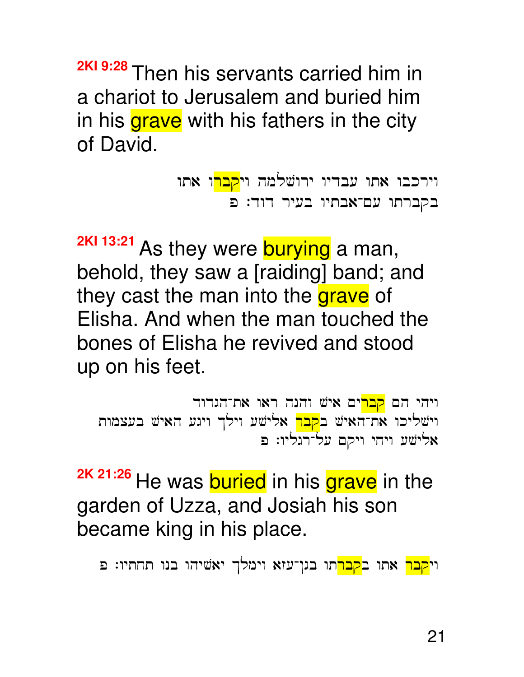**2KI 9:28** Then his servants carried him in a chariot to Jerusalem and buried him in his grave with his fathers in the city of David.

> וירכבו אתו עבדיו ירושלמה וי<mark>קבר</mark>ו אתו בקברתו עם־אבתיו בעיר דוד: פ

**2KI 13:21** As they were **burying** a man, behold, they saw a [raiding] band; and they cast the man into the grave of Elisha. And when the man touched the bones of Elisha he revived and stood up on his feet.

```
ויהי הם <mark>קבר</mark>ים איש והנה ראו את־הגדוד
וישליכו את־האיש ב<mark>קבר</mark> אלישע וילך ויגע האיש בעצמות
                             אלישע ויחי ויקם על־רגליו: פ
```
2K 21:26 He was **buried** in his grave in the garden of Uzza, and Josiah his son became king in his place.

וי<mark>קבר</mark> אתו ב<mark>קבר</mark>תו בגן־עזא וימלך יאשיהו בנו תחתיו: פ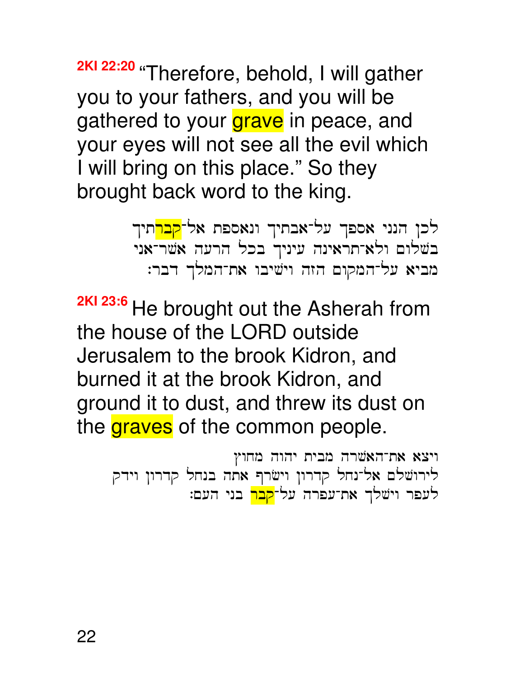**2KI 22:20** "Therefore, behold, I will gather you to your fathers, and you will be gathered to your grave in peace, and your eyes will not see all the evil which I will bring on this place." So they brought back word to the king.

> לכן הנני אספך על־אבתיך ונאספת אל־<mark>קבר</mark>תיך בשלום ולא־תראינה עיניך בכל הרעה אשר־אני מביא על־המקום הזה וישיבו את־המלך דבר:

**2KI 23:6** He brought out the Asherah from the house of the LORD outside Jerusalem to the brook Kidron, and burned it at the brook Kidron, and ground it to dust, and threw its dust on the graves of the common people.

 $m$ יה<br/> האשרה מבית האשרה האשרה לירושלם אל־נחל קדרון וישרף אתה בנחל קדרון וידק לעפר וישלך את־עפרה על־<mark>קבר</mark> בני העם: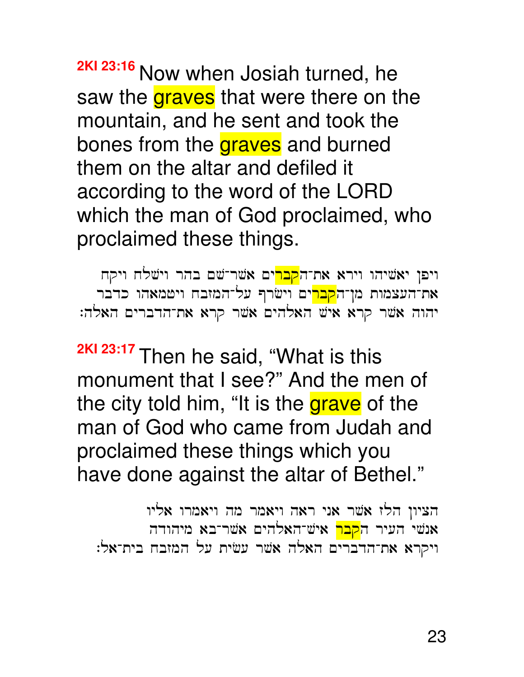23

**2KI 23:16** Now when Josiah turned, he saw the graves that were there on the mountain, and he sent and took the bones from the **graves** and burned them on the altar and defiled it according to the word of the LORD which the man of God proclaimed, who proclaimed these things.

ויפן יאשיהו וירא את־ה<mark>קבר</mark>ים אשר־שם בהר וישלח ויקח את־העצמות מן־ה<mark>קבר</mark>ים וישרף על־המזבח ויטמאהו כדבר יהוה אשר קרא איש האלהים אשר קרא את־הדברים האלה:

**2KI 23:17** Then he said, "What is this monument that I see?" And the men of the city told him, "It is the grave of the man of God who came from Judah and proclaimed these things which you have done against the altar of Bethel."

הציון הלז אשר אני ראה ויאמר מה ויאמרו אליו אנשי העיר ה<mark>קבר</mark> איש־האלהים אשר־בא מיהודה ויקרא את־הדברים האלה אשר עשית על המזבח בית־אל: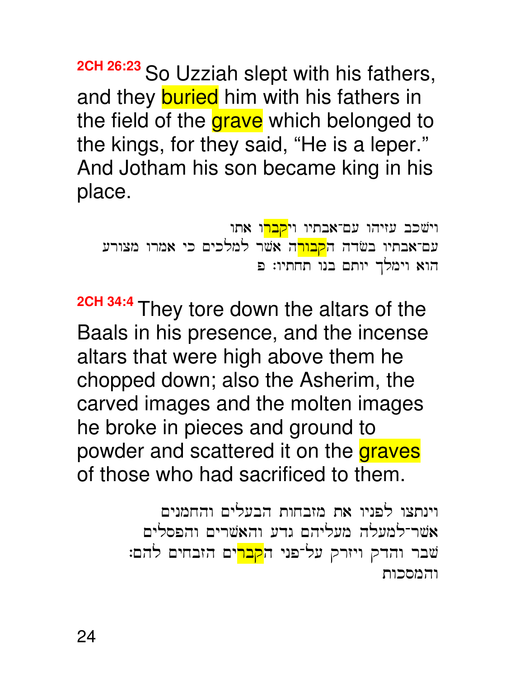**2CH 26:23** So Uzziah slept with his fathers, and they **buried** him with his fathers in the field of the grave which belonged to the kings, for they said, "He is a leper." And Jotham his son became king in his place.

וישכב עזיהו עם־אבתיו וי<mark>קבר</mark>ו אתו עם־אבתיו בשׂדה ה<mark>קבור</mark>ה אשר למלכים כי אמרו מצורע הוא וימלך יותם בנו תחתיו: פ

**2CH 34:4** They tore down the altars of the Baals in his presence, and the incense altars that were high above them he chopped down; also the Asherim, the carved images and the molten images he broke in pieces and ground to powder and scattered it on the graves of those who had sacrificed to them.

> וינתצו לפניו את מזבחות הבעלים והחמנים אשר־למעלה מעליהם גדע והאשרים והפסלים שבר והדק ויזרק על־פני ה<mark>קבר</mark>ים הזבחים להם: והמסכות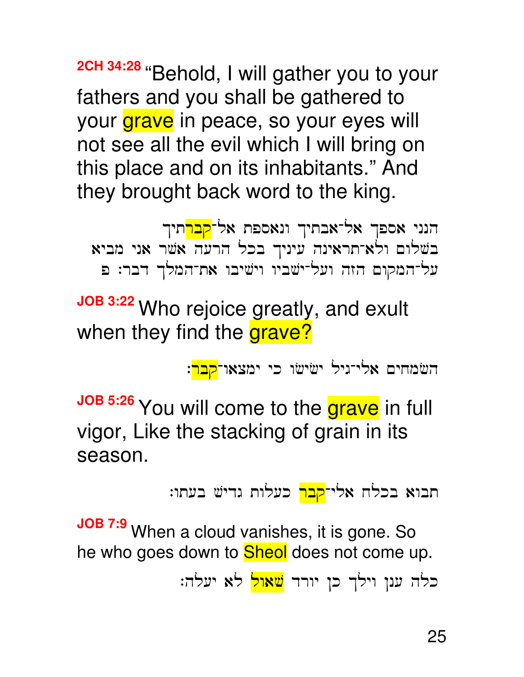**2CH 34:28** "Behold, I will gather you to your fathers and you shall be gathered to your *grave* in peace, so your eyes will not see all the evil which I will bring on this place and on its inhabitants." And they brought back word to the king.

הנני אספך אל־אבתיך ונאספת אל־<mark>קבר</mark>תיך בשלום ולא־תראינה עיניך בכל הרעה אשר אני מביא על־המקום הזה ועל־ישביו וישיבו את־המלך דבר: פ

**JOB 3:22** Who rejoice greatly, and exult when they find the grave?

השמחים אלי־גיל ישׂישו כי ימצאו־<mark>קבר</mark>:

**JOB 5:26** You will come to the grave in full vigor, Like the stacking of grain in its season.

תבוא בכלח אלי־<mark>קבר</mark> כעלות גדישׁ בעתו:

**JOB 7:9** When a cloud vanishes, it is gone. So he who goes down to **Sheol** does not come up.

כלה ענן וילך כן יורד <mark>שאול</mark> לא יעלה: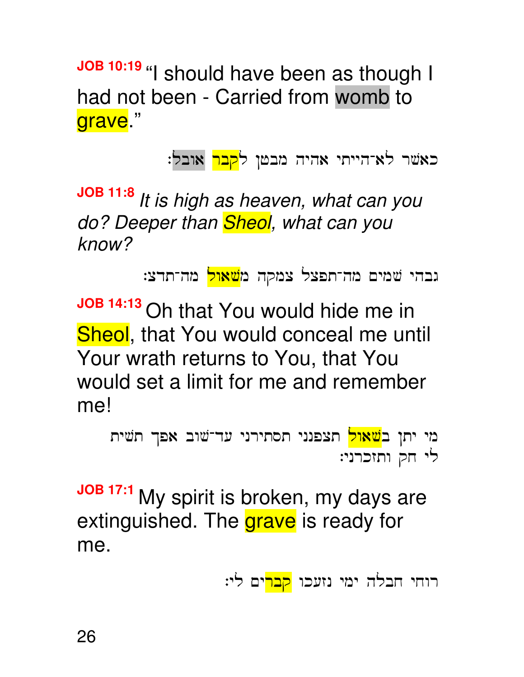**JOB 10:19** "I should have been as though I had not been - Carried from womb to grave<sup>"</sup>

כאשר לא־הייתי אהיה מבטן ל<mark>קבר</mark> אובל:

**JOB 11:8** It is high as heaven, what can you do? Deeper than **Sheol**, what can you know?

גבהי שמים מה־תפצל צמקה מ<mark>שאול</mark> מה־תדצ:

**JOB 14:13** Oh that You would hide me in Sheol, that You would conceal me until Your wrath returns to You, that You would set a limit for me and remember me!

```
מי יתן ב<mark>שאול</mark> תצפנני תסתירני עד־שוב אפך תשית
                                      לי חק ותזכרני:
```
**JOB 17:1** My spirit is broken, my days are extinguished. The **grave** is ready for me.

רוחי חבלה ימי נזעכו <mark>קבר</mark>ים לי: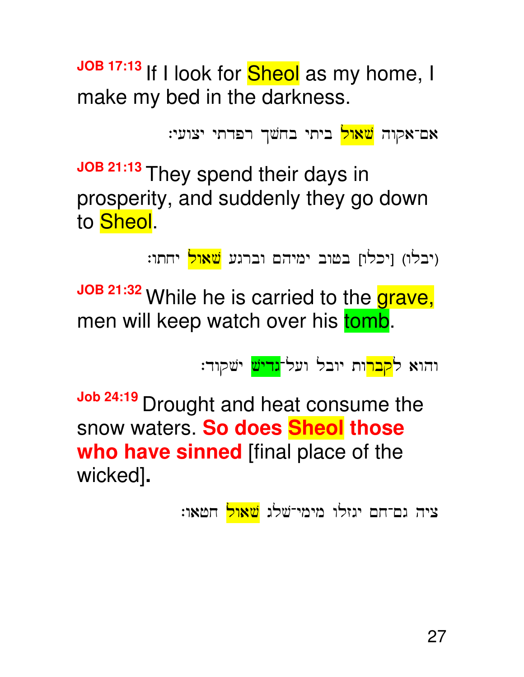JOB 17:13 If I look for **Sheol** as my home, I make my bed in the darkness.

אם־אקוה <mark>שאול</mark> ביתי בחשך רפדתי יצועי:

**JOB 21:13** They spend their days in prosperity, and suddenly they go down to **Sheol**.

יבלו) [יכלו] בטוב ימיהם וברגע <mark>שאול</mark> יחתו:

JOB 21:32 While he is carried to the grave, men will keep watch over his tomb.

והוא ל<mark>קבר</mark>ות יובל ועל־<mark>גדיש</mark> ישקוד:

**Job 24:19** Drought and heat consume the snow waters. **So does Sheol those who have sinned** [final place of the wicked]**.** 

ציה גם־חם יגזלו מימי־שלג <mark>שאול</mark> חטאו: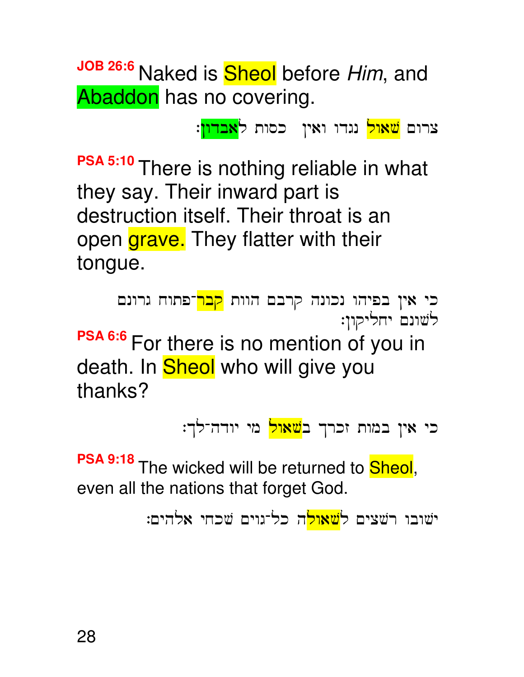**JOB 26:6** Naked is Sheol before Him, and Abaddon has no covering.

צרום <mark>שאול</mark> נגדו ואין -כסות ל<mark>אבדון</mark>:

**PSA 5:10** There is nothing reliable in what they say. Their inward part is destruction itself. Their throat is an open grave. They flatter with their tongue.

```
כי אין בפיהו נכונה קרבם הוות <mark>קבר</mark>־פתוח גרונם
                                     לשונם יחליקון:
```
**PSA 6:6** For there is no mention of you in death. In **Sheol** who will give you thanks?

כי אין במות זכרך ב<mark>שאול</mark> מי יודה־לך:

**PSA 9:18** The wicked will be returned to **Sheol**, even all the nations that forget God.

ישובו רשצים ל<mark>שאול</mark>ה כל־גוים שכחי אלהים: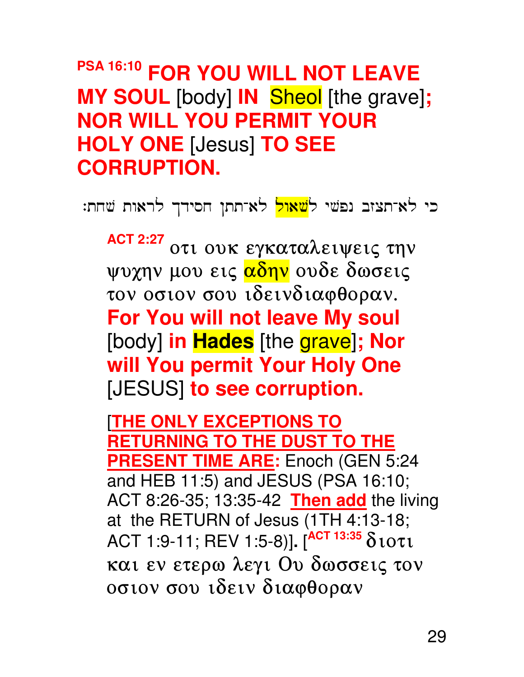## **PSA 16:10 FOR YOU WILL NOT LEAVE MY SOUL** [body] **IN** Sheol [the grave]**; NOR WILL YOU PERMIT YOUR HOLY ONE** [Jesus] **TO SEE CORRUPTION.**

כי לא־תצזב נפשׁי ל<mark>שאול</mark> לא־תתן חסידך לראות שחת:

**ACT 2:27** OTI OUK EYKOTALEIVEIS THU ψυχην μου εις <mark>αδην</mark> ουδε δωσεις τον οσιον σου ιδεινδιαφθοραν. **For You will not leave My soul** [body] **in Hades** [the grave]**; Nor will You permit Your Holy One** [JESUS] **to see corruption.** 

[**THE ONLY EXCEPTIONS TO RETURNING TO THE DUST TO THE PRESENT TIME ARE:** Enoch (GEN 5:24 and HEB 11:5) and JESUS (PSA 16:10; ACT 8:26-35; 13:35-42 **Then add** the living at the RETURN of Jesus (1TH 4:13-18; ACT 1:9-11; REV 1:5-8)]. [<sup>ACT 13:35</sup> διοτι και εν ετερω λεγι Ου δωσσεις τον osion sou idein diafqoran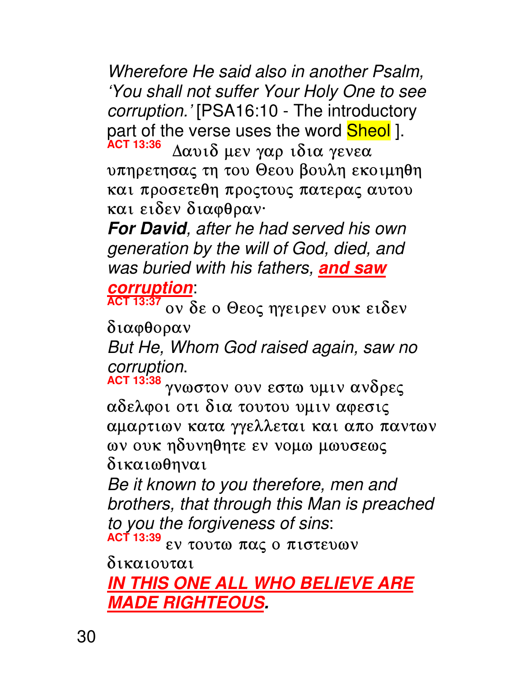Wherefore He said also in another Psalm, 'You shall not suffer Your Holy One to see corruption.' [PSA16:10 - The introductory part of the verse uses the word **Sheol** ].<br>ACT 13:36

Δαυιδ μεν γαρ ιδια γενεα υπηρετησας τη του Θεου βουλη εκοιμηθη και προσετεθη προςτους πατερας αυτου και ειδεν διαφθραν·

**For David**, after he had served his own generation by the will of God, died, and was buried with his fathers, **and saw** 

### **corruption**:

 $\frac{1}{\sqrt{2}}$  act 13:37 ov de o Oeog ηγειρεν ουκ ειδεν διαφθοραν

But He, Whom God raised again, saw no corruption.

**ACT 13:38** γνωστον ουν εστω υμιν ανδρες αδελφοι οτι δια τουτου υμιν αφεσις αμαρτιων κατα γγελλεται και απο παντων ων ουκ ηδυνηθητε εν νομω μωυσεως δικαιωθηναι

Be it known to you therefore, men and brothers, that through this Man is preached to you the forgiveness of sins: **ACT 13:39**

εν τουτω πας ο πιστευων

 $\delta$ ikaiovtai

**IN THIS ONE ALL WHO BELIEVE ARE MADE RIGHTEOUS.**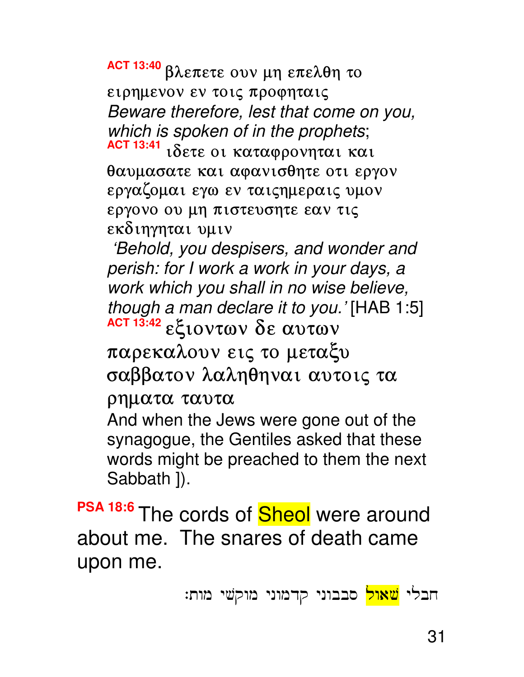**ACT 13:40** βλεπετε ουν μη επελθη το ειρημενον εν τοις προφηταις Beware therefore, lest that come on you, which is spoken of in the prophets; **ACT 13:41 i**  $\delta$ ετε oi καταφρονηται και θαυμασατε και αφανισθητε οτι εργον εργαζομαι εγω εν ταιςημεραις υμον εργονο ου μη πιστευσητε εαν τις εκδιηγηται υμιν

 'Behold, you despisers, and wonder and perish: for I work a work in your days, a work which you shall in no wise believe, though a man declare it to you.' [HAB 1:5] **ACT 13:42 εξιοντων δε αυτων** παρεκαλουν εις το μεταξυ σαββατον λαληθηναι αυτοις τα ρηματα ταυτα And when the Jews were gone out of the synagogue, the Gentiles asked that these

words might be preached to them the next Sabbath ]).

**PSA 18:6 The cords of Sheol were around** about me. The snares of death came upon me.

חבלי <mark>שאול</mark> סבבוני קדמוני מוקשי מות: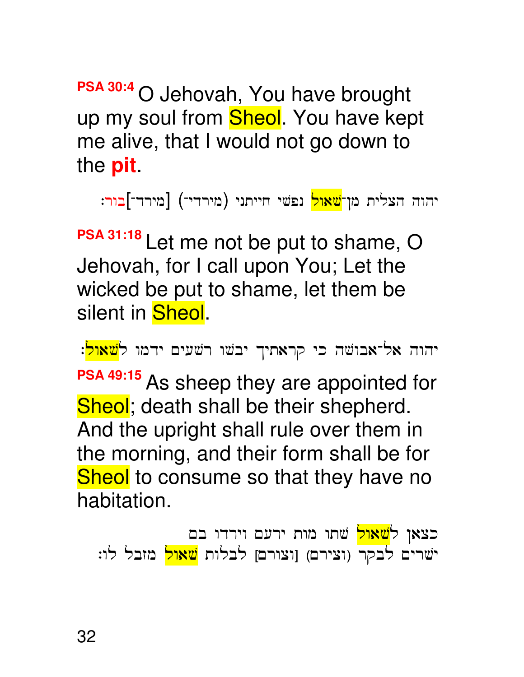**PSA 30:4** O Jehovah, You have brought up my soul from **Sheol**. You have kept me alive, that I would not go down to the **pit**.

יהוה הצלית מן־<mark>שאול</mark> נפשי חייתני (מירדי־) [מירד־]בור:

**PSA 31:18** Let me not be put to shame, O Jehovah, for I call upon You; Let the wicked be put to shame, let them be silent in **Sheol**.

יהוה אל־אבושה כי קראתיך יבשו רשעים ידמו ל<mark>שאול</mark>: **PSA 49:15** As sheep they are appointed for Sheol; death shall be their shepherd. And the upright shall rule over them in the morning, and their form shall be for Sheol to consume so that they have no habitation.

כצאן ל<mark>שאול</mark> שתו מות ירעם וירדו בם ישרים לבקר (וצירם) [וצורם] לבלות <mark>שאול</mark> מזבל לו: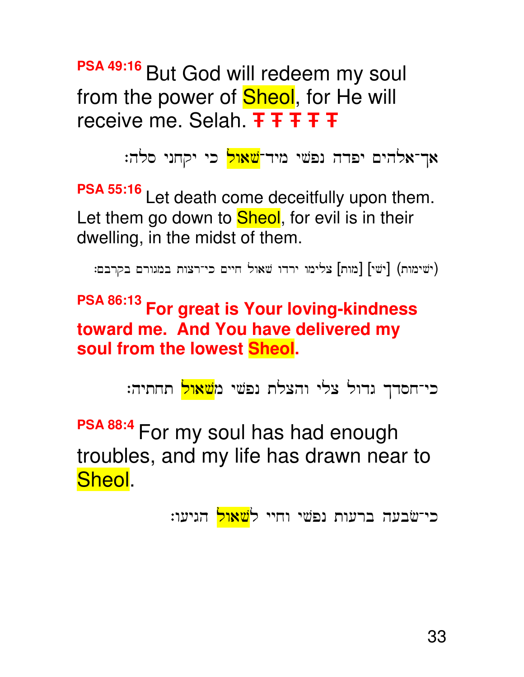**PSA 49:16** But God will redeem my soul from the power of **Sheol**, for He will receive me. Selah. Ŧ Ŧ Ŧ Ŧ Ŧ

אך־אלהים יפדה נפשי מיד־<mark>שאול</mark> כי יקחני סלה:

**PSA 55:16** Let death come deceitfully upon them. Let them go down to **Sheol**, for evil is in their dwelling, in the midst of them.

`~brah' [ישימות] [ישי] בלימו ירדו שאול חיים כי־רצות במגורם בקרבם

**PSA 86:13 For great is Your loving-kindness toward me. And You have delivered my soul from the lowest Sheol.** 

כי־חסדך גדול צלי והצלת נפשי מ<mark>שאול</mark> תחתיה:

**PSA 88:4** For my soul has had enough troubles, and my life has drawn near to Sheol.

כי־שבעה ברעות נפשי וחיי ל<mark>שאול</mark> הגיעו: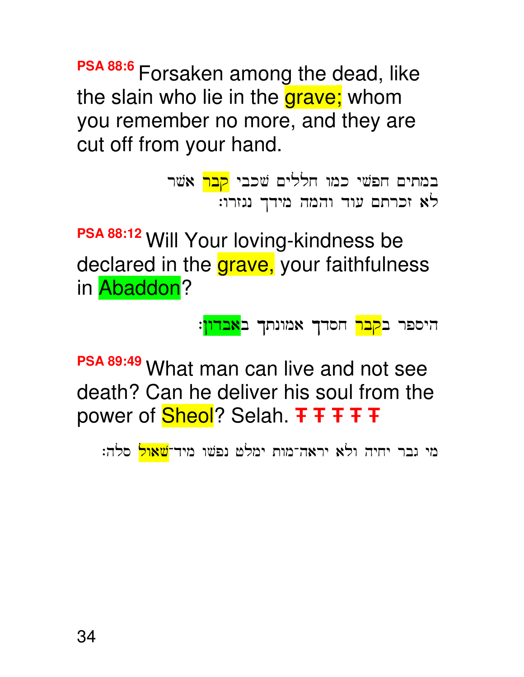**PSA 88:6** Forsaken among the dead, like the slain who lie in the grave; whom you remember no more, and they are cut off from your hand.

> במתים חפשי כמו חללים שכבי <mark>קבר</mark> אשר לא זכרתם עוד והמה מידך נגזרו:

**PSA 88:12** Will Your loving-kindness be declared in the grave, your faithfulness in Abaddon?

היספר ב<mark>קבר</mark> חסדך אמונתך ב<mark>אבדון</mark>:

**PSA 89:49** What man can live and not see death? Can he deliver his soul from the power of **Sheol**? Selah. **T T T T T** 

מי גבר יחיה ולא יראה־מות ימלט נפשו מיד־<mark>שאול</mark> סלה: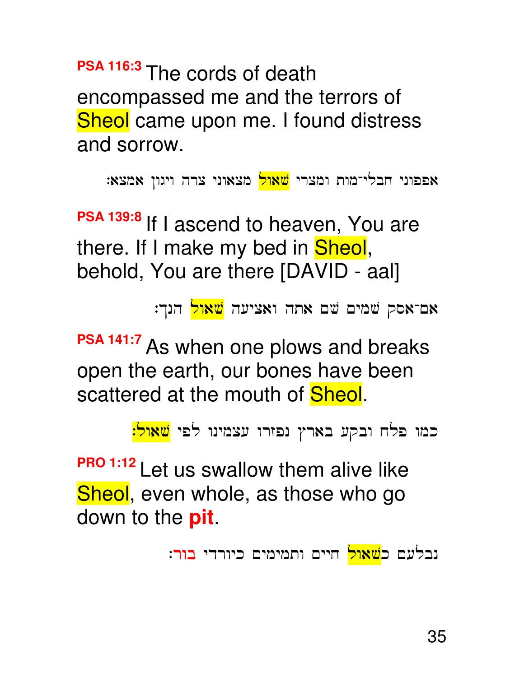**PSA 116:3** The cords of death encompassed me and the terrors of Sheol came upon me. I found distress and sorrow.

אפפוני חבלי־מות ומצרי <mark>שאול</mark> מצאוני צרה ויגון אמצא:

**PSA 139:8** If I ascend to heaven, You are there. If I make my bed in **Sheol**, behold, You are there [DAVID - aal]

אם־אסק שׁמים שם אתה ואציעה <mark>שאול</mark> הנך:

**PSA 141:7** As when one plows and breaks open the earth, our bones have been scattered at the mouth of **Sheol**.

כמו פלח ובקע בארץ נפזרו עצמינו לפי <mark>שאול:</mark>

**PRO 1:12** Let us swallow them alive like Sheol, even whole, as those who go down to the **pit**.

נבלעם כ<mark>שאול</mark> חיים ותמימים כיורדי בור: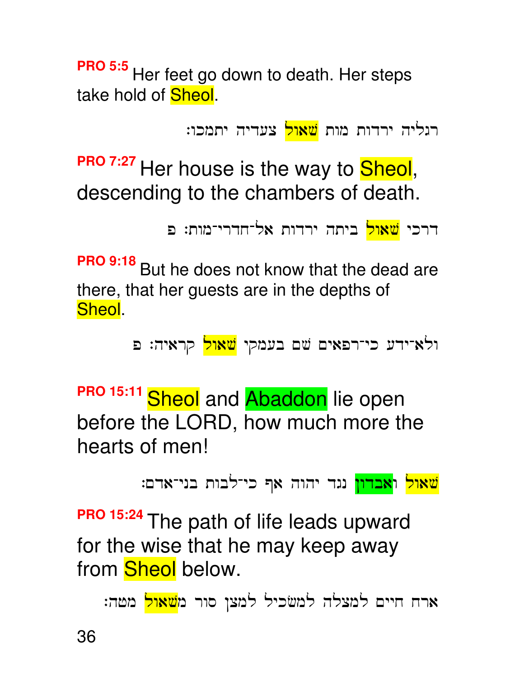**PRO 5:5** Her feet go down to death. Her steps take hold of **Sheol**.

רגליה ירדות מות <mark>שאול</mark> צעריה יתמכו:

**PRO 7:27 Her house is the way to Sheol,** descending to the chambers of death.

```
דרכי <mark>שאול</mark> ביתה ירדות אל־חדרי־מות: פ
```
**PRO 9:18** But he does not know that the dead are there, that her guests are in the depths of Sheol.

ולא־ידע כי־רפאים שם בעמקי <mark>שאול</mark> קראיה: פ

**PRO 15:11 Sheol and Abaddon** lie open before the LORD, how much more the hearts of men!

```
<mark>שאול ואבדון</mark> נגד יהוה אף כי־לבות בני־אדם:
```
**PRO 15:24** The path of life leads upward for the wise that he may keep away from **Sheol** below.

ארח חיים למצלה למשכיל למצן סור מ<mark>שאול</mark> מטה: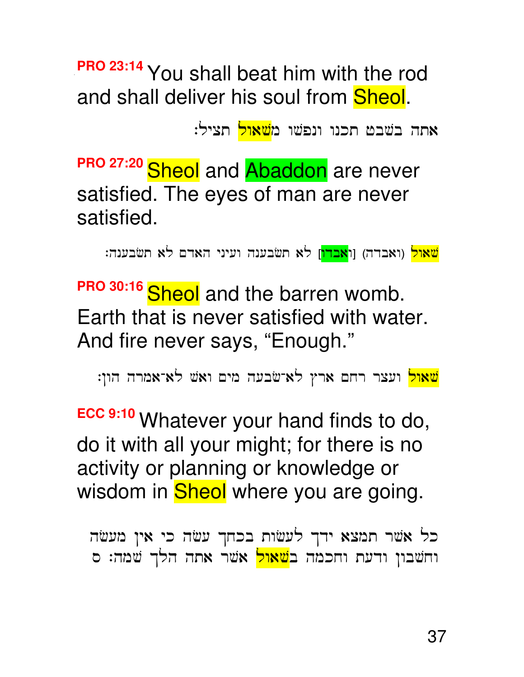**PRO 23:14 You shall beat him with the rod** and shall deliver his soul from **Sheol**.

אתה בשבט תכנו ונפשו מ<mark>שאול</mark> תציל:

**PRO 27:20 Sheol and Abaddon** are never satisfied. The eyes of man are never satisfied.

<mark>שאול</mark> (ואבדה) [ו<mark>אבדו</mark>] לא תשׂבענה ועיני האדם לא תשׂבענה:

**PRO 30:16** Sheol and the barren womb. Earth that is never satisfied with water. And fire never says, "Enough."

<mark>שאול</mark> ועצר רחם ארץ לא־שבעה מים ואש לא־אמרה הון:

**ECC 9:10** Whatever your hand finds to do, do it with all your might; for there is no activity or planning or knowledge or wisdom in **Sheol** where you are going.

כל אשר תמצא ידך לעשות בכחך עשה כי אין מעשה וחשבון ודעת וחכמה ב<mark>שאול</mark> אשר אתה הלך שמה: ס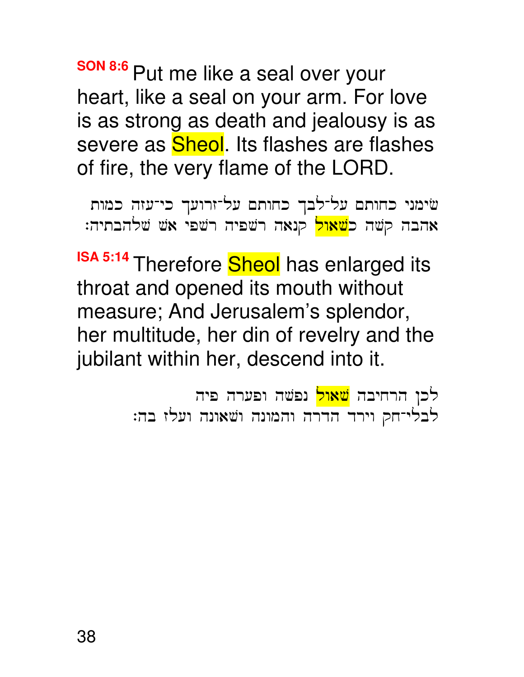**SON 8:6** Put me like a seal over your heart, like a seal on your arm. For love is as strong as death and jealousy is as severe as **Sheol**. Its flashes are flashes of fire, the very flame of the LORD.

שימני כחותם על־לבך כחותם על־זרועך כי־עזה כמות אהבה קשה כ<mark>שאול</mark> קנאה רשפיה רשפי אש שלהבתיה:

**ISA 5:14 Therefore Sheol has enlarged its** throat and opened its mouth without measure; And Jerusalem's splendor, her multitude, her din of revelry and the jubilant within her, descend into it.

> לכן הרחיבה <mark>שאול</mark> נפשה ופערה פיה לבלי־חק וירד הדרה והמונה ושאונה ועלז בה: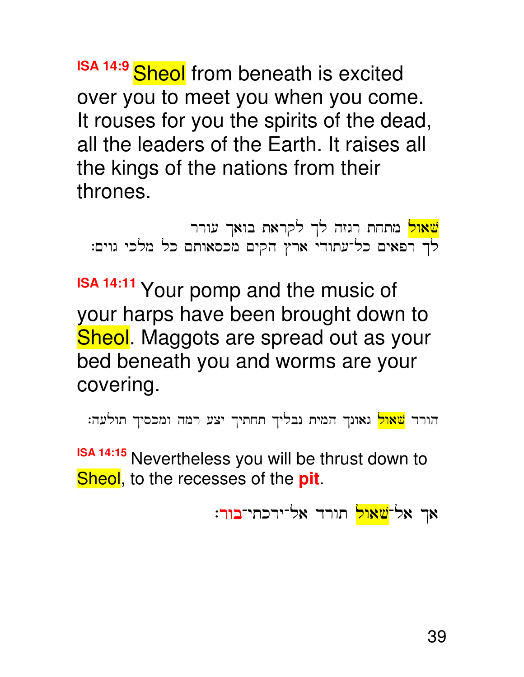**ISA 14:9** Sheol from beneath is excited over you to meet you when you come. It rouses for you the spirits of the dead, all the leaders of the Earth. It raises all the kings of the nations from their thrones.

<mark>שאול</mark> מתחת רגזה לך לקראת בואך עורר לך רפאים כל־עתודי ארץ הקים מכסאותם כל מלכי גוים:

**ISA 14:11** Your pomp and the music of your harps have been brought down to Sheol. Maggots are spread out as your bed beneath you and worms are your covering.

הורד <mark>שאול</mark> גאונך המית נבליך תחתיך יצע רמה ומכסיך תולעה:

**ISA 14:15** Nevertheless you will be thrust down to Sheol, to the recesses of the **pit**.

אך אל־<mark>שאול</mark> תורד אל־ירכתי־בור: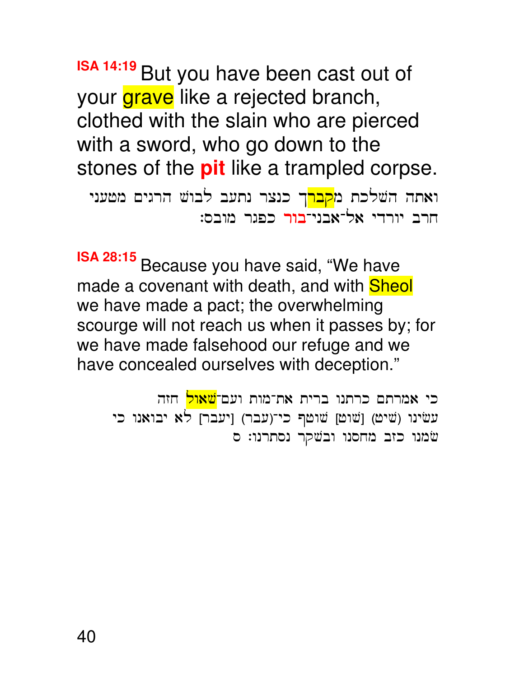**ISA 14:19** But you have been cast out of your grave like a rejected branch, clothed with the slain who are pierced with a sword, who go down to the stones of the **pit** like a trampled corpse.

```
ואתה השלכת מ<mark>קבר</mark>ך כנצר נתעב לבוש הרגים מטעני
                   חרב יורדי אל־אבני־<mark>בור</mark> כפגר מובס:
```
**ISA 28:15** Because you have said, "We have made a covenant with death, and with **Sheol** we have made a pact; the overwhelming scourge will not reach us when it passes by; for we have made falsehood our refuge and we have concealed ourselves with deception."

```
כי אמרתם כרתנו ברית את־מות ועם־<mark>שאול</mark> חזה
עשינו (שיט) [שוט] שוטף כי־(עבר) [יעבר] לא יבואנו כי
                   שמנו כזב מחסנו ובשקר נסתרנו: ס
```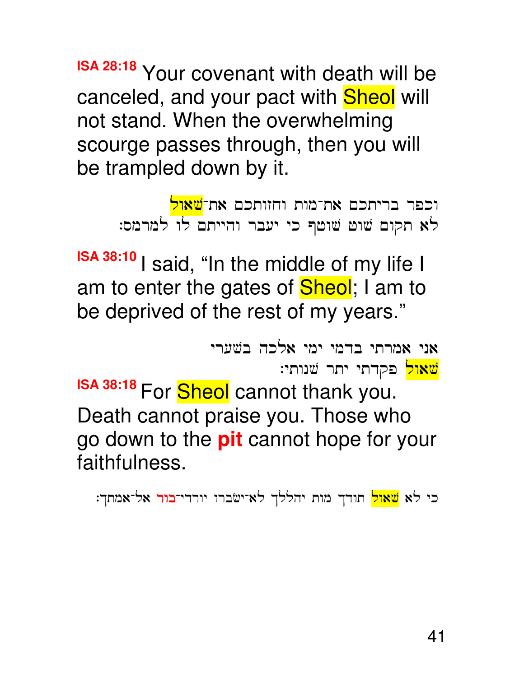**ISA 28:18** Your covenant with death will be canceled, and your pact with **Sheol** will not stand. When the overwhelming scourge passes through, then you will be trampled down by it.

> וכפר בריתכם את־מות וחזותכם את־<mark>שאול</mark> לא תקום שוט שוטף כי יעבר והייתם לו למרמס:

**ISA 38:10** I said, "In the middle of my life I am to enter the gates of **Sheol**; I am to be deprived of the rest of my years."

```
אני אמרתי בדמי ימי אלכה בשערי
           <mark>שאול</mark> פקדתי יתר שנותי:
```
**ISA 38:18** For Sheol cannot thank you. Death cannot praise you. Those who go down to the **pit** cannot hope for your faithfulness.

כי לא <mark>שאול</mark> תודך מות יהללך לא־ישברו יורדי־בור אל־אמתך: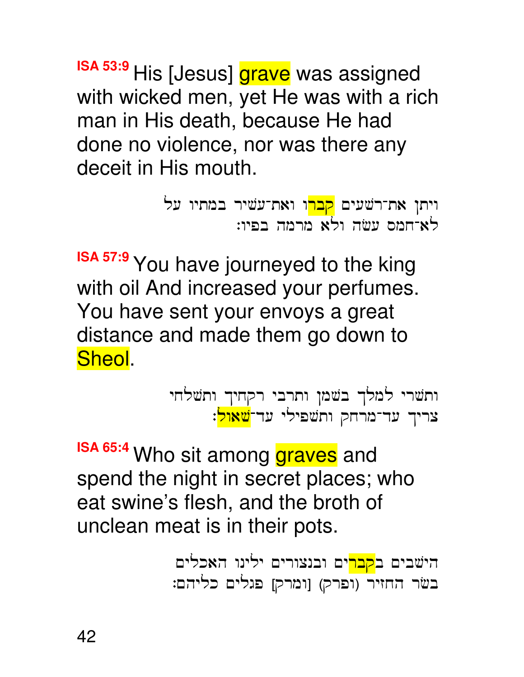**ISA 53:9** His [Jesus] grave was assigned with wicked men, yet He was with a rich man in His death, because He had done no violence, nor was there any deceit in His mouth.

```
ויתן את־רשׁעים <mark>קבר</mark>ו ואת־עשיר במתיו על
             לא<sup>-</sup>חמס עשה ולא מרמה בפיו:
```
**ISA 57:9** You have journeyed to the king with oil And increased your perfumes. You have sent your envoys a great distance and made them go down to Sheol.

> ותשרי למלך בשמן ותרבי רקחיך ותשלחי צריך עד־מרחק ותשפילי עד־<mark>שאול</mark>:

**ISA 65:4 Who sit among graves** and spend the night in secret places; who eat swine's flesh, and the broth of unclean meat is in their pots.

> הישבים ב<mark>קבר</mark>ים ובנצורים ילינו האכלים בשׂר החזיר (ופרק) [ומרק] פגלים כליהם: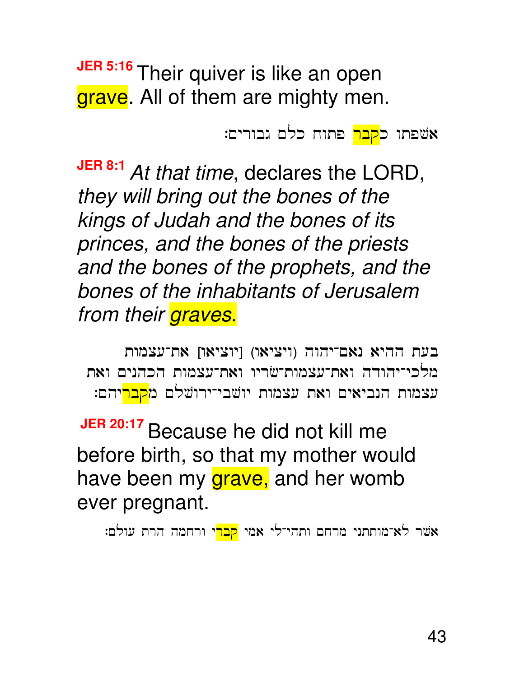**JER 5:16** Their quiver is like an open grave. All of them are mighty men.

אשפתו כ<mark>קבר</mark> פתוח כלם גבורים:

**JER 8:1** At that time, declares the LORD, they will bring out the bones of the kings of Judah and the bones of its princes, and the bones of the priests and the bones of the prophets, and the bones of the inhabitants of Jerusalem from their *graves*.

בעת ההיא נאם־יהוה (ויציאו) ויוציאון את־עצמות מלכי־יהודה ואת־עצמות־שׂריו ואת־עצמות הכהנים ואת עצמות הנביאים ואת עצמות יושבי־ירושלם מ<mark>קבר</mark>יהם:

**JER 20:17** Because he did not kill me before birth, so that my mother would have been my grave, and her womb ever pregnant.

אשר לא־מותתני מרחם ותהי־לי אמי <mark>קבר</mark>י ורחמה הרת עולם: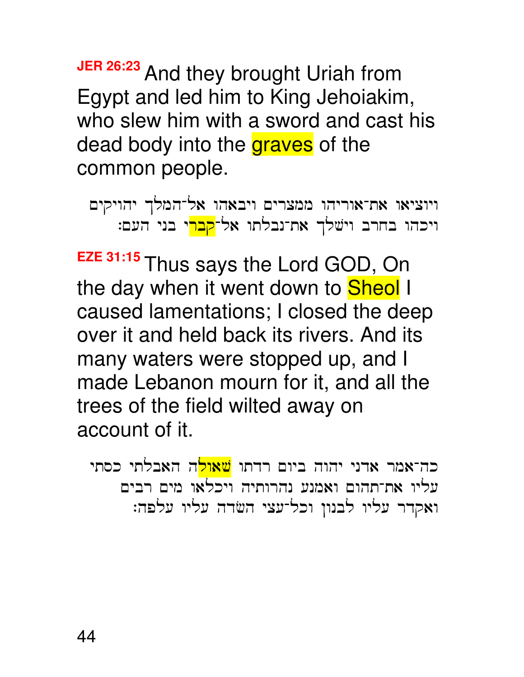**JER 26:23** And they brought Uriah from Egypt and led him to King Jehoiakim, who slew him with a sword and cast his dead body into the graves of the common people.

ויוציאו את־אוריהו ממצרים ויבאהו אל־המלך יהויקים ויכהו בחרב וישׁלך את־נבלתו אל־<mark>קבר</mark>י בני העם:

**EZE 31:15** Thus says the Lord GOD, On the day when it went down to **Sheol** I caused lamentations; I closed the deep over it and held back its rivers. And its many waters were stopped up, and I made Lebanon mourn for it, and all the trees of the field wilted away on account of it.

כה־אמר אדני יהוה ביום רדתו <mark>שאול</mark>ה האבלתי כסתי עליו את־תהום ואמנע נהרותיה ויכלאו מים רבים ואקדר עליו לבנון וכל־עצי השדה עליו עלפה: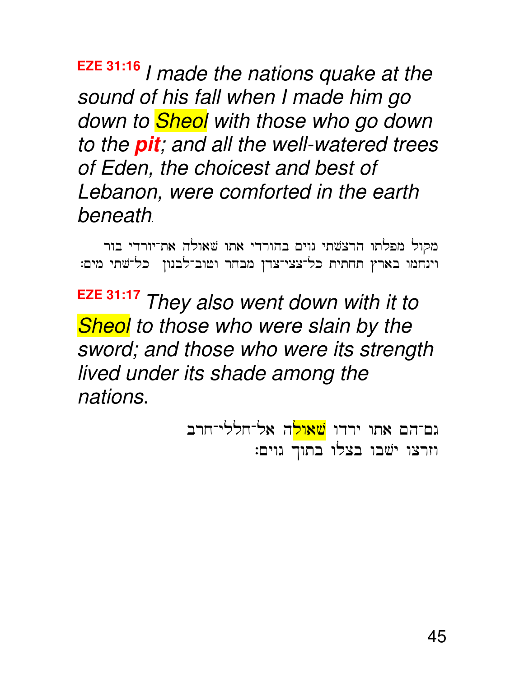**EZE 31:16** I made the nations quake at the sound of his fall when I made him go down to **Sheol** with those who go down to the **pit**; and all the well-watered trees of Eden, the choicest and best of Lebanon, were comforted in the earth beneath.

מקול מפלתו הרצשתי גוים בהורדי אתו שאולה את־יורדי בור וינחמו בארץ תחתית כל־צצי־צדן מבחר וטוב־לבנון -כל־שתי מים:

**EZE 31:17** They also went down with it to **Sheol** to those who were slain by the sword; and those who were its strength lived under its shade among the nations.

> גם־הם אתו ירדו <mark>שאול</mark>ה אל־חללי־חרב וזרצו ישבו בצלו בתוך גוים: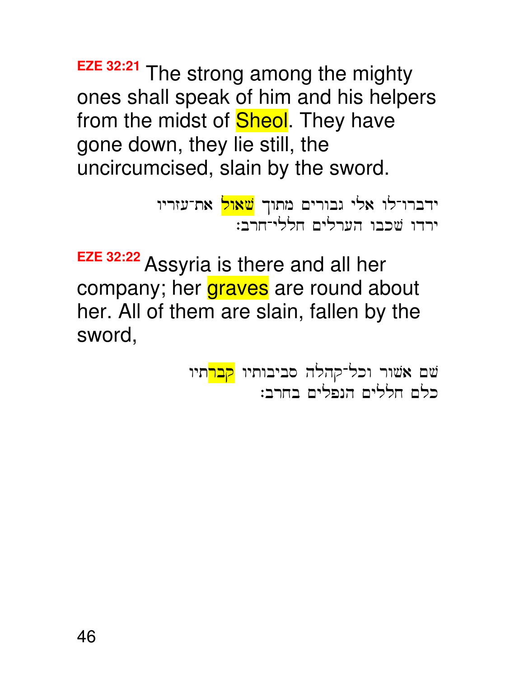**EZE 32:21** The strong among the mighty ones shall speak of him and his helpers from the midst of **Sheol**. They have gone down, they lie still, the uncircumcised, slain by the sword.

> ידברו־לו אלי גבורים מתוך <mark>שאול</mark> את־עזריו ירדו שכבו הערלים חללי<sup>-</sup>חרב:

**EZE 32:22** Assyria is there and all her company; her *graves* are round about her. All of them are slain, fallen by the sword,

> שם אשור וכל־קהלה סביבותיו <mark>קבר</mark>תיו כלם חללים הנפלים בחרב: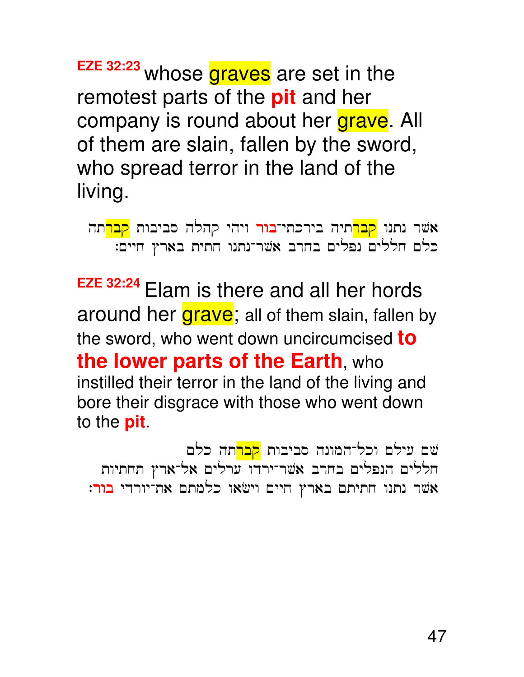**EZE 32:23** whose graves are set in the remotest parts of the **pit** and her company is round about her grave. All of them are slain, fallen by the sword, who spread terror in the land of the living.

אשר נתנו <mark>קבר</mark>תיה בירכתי־**בור** ויהי קהלה סביבות <mark>קבר</mark>תה כלם חללים נפלים בחרב אשר־נתנו חתית בארץ חיים:

**EZE 32:24** Elam is there and all her hords around her grave; all of them slain, fallen by the sword, who went down uncircumcised **to the lower parts of the Earth**, who instilled their terror in the land of the living and bore their disgrace with those who went down to the **pit**.

שם עילם וכל־המונה סביבות <mark>קבר</mark>תה כלם חללים הנפלים בחרב אשר־ירדו ערלים אל־ארץ תחתיות אשר נתנו חתיתם בארץ חיים וישאו כלמתם את<sup>-</sup>יורדי בור: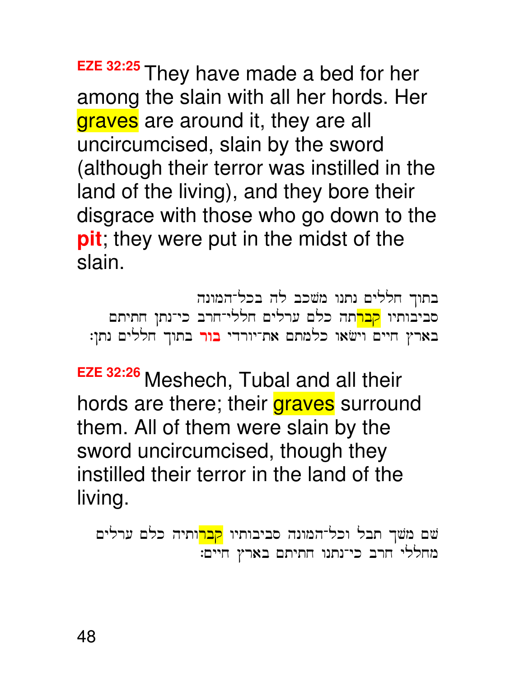**EZE 32:25** They have made a bed for her among the slain with all her hords. Her graves are around it, they are all uncircumcised, slain by the sword (although their terror was instilled in the land of the living), and they bore their disgrace with those who go down to the **pit**; they were put in the midst of the slain.

בתוך חללים נתנו משכב לה בכל־המונה סביבותיו <mark>קבר</mark>תה כלם ערלים חללי־חרב כי־נתן חתיתם בארץ חיים וישאו כלמתם את־יורדי בור בתוך חללים נתן:

**EZE 32:26** Meshech, Tubal and all their hords are there; their graves surround them. All of them were slain by the sword uncircumcised, though they instilled their terror in the land of the living.

```
שם משך תבל וכל־המונה סביבותיו <mark>קבר</mark>ותיה כלם ערלים
                מחללי חרב כי־נתנו חתיתם בארץ חיים:
```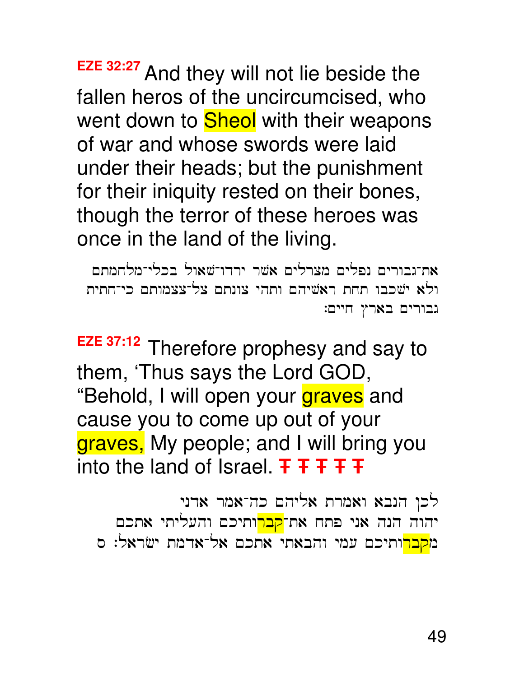**EZE 32:27** And they will not lie beside the fallen heros of the uncircumcised, who went down to **Sheol** with their weapons of war and whose swords were laid under their heads; but the punishment for their iniquity rested on their bones, though the terror of these heroes was once in the land of the living.

ה-נבורים נפלים מצרלים אשר ירדו־שאול בכלי־מלחמתם ולא ישכבו תחת ראשיהם ותהי צונתם צל־צצמותם כי־חתית  $~$ גבורים בארץ חיים

**EZE 37:12** Therefore prophesy and say to them, 'Thus says the Lord GOD, "Behold, I will open your graves and cause you to come up out of your graves, My people; and I will bring you into the land of Israel.  $F$   $F$   $F$   $F$   $F$ 

לכן הנבא ואמרת אליהם כה־אמר אדני יהוה הנה אני פתח את־<mark>קבר</mark>ותיכם והעליתי אתכם מ<mark>קבר</mark>ותיכם עמי והבאתי אתכם אל־אדמת ישׂראל: ס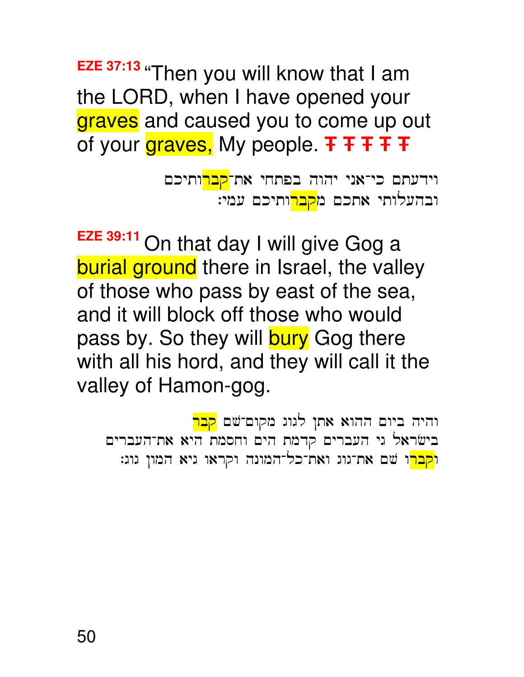**EZE 37:13** "Then you will know that I am the LORD, when I have opened your graves and caused you to come up out of your graves, My people. **T T T T T** 

> וידעתם כי־אני יהוה בפתחי את־<mark>קבר</mark>ותיכם ובהעלותי אתכם מ<mark>קבר</mark>ותיכם עמי:

**EZE 39:11** On that day I will give Gog a burial ground there in Israel, the valley of those who pass by east of the sea, and it will block off those who would pass by. So they will bury Gog there with all his hord, and they will call it the valley of Hamon-gog.

והיה ביום ההוא אתן לגוג מקום־שם <mark>קבר</mark> בישראל גי העברים קדמת הים וחסמת היא את־העברים ו<mark>קבר</mark>ו שם את־גוג ואת־כל־המונה וקראו גיא המון גוג: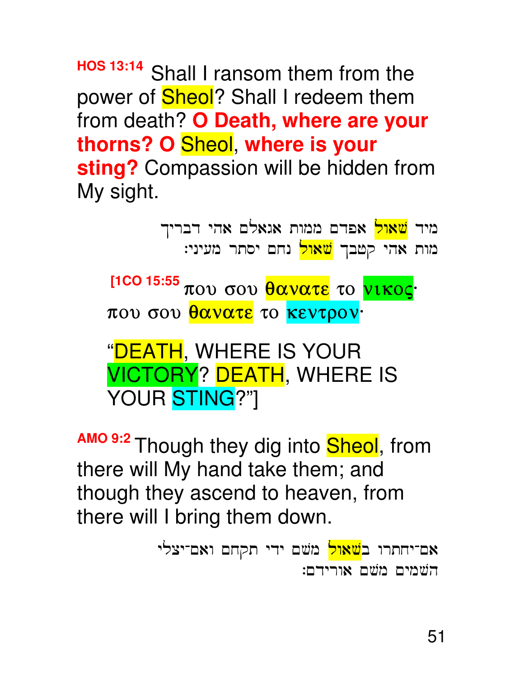HOS 13:14 Shall I ransom them from the power of **Sheol**? Shall I redeem them from death? O Death, where are your thorns? O Sheol, where is your sting? Compassion will be hidden from My sight.

> מיד <mark>שאול</mark> אפדם ממות אגאלם אהי דבריך מות אהי קטבך <mark>שאול</mark> נחם יסתר מעיני:

[1CO 15:55 που σου θανατε το νικος· που σου θανατε το κεντρον·

"DEATH, WHERE IS YOUR **VICTORY? DEATH, WHERE IS** YOUR STING?"]

AMO 9:2 Though they dig into **Sheol**, from there will My hand take them; and though they ascend to heaven, from there will I bring them down.

```
אם־יחתרו ב<mark>שאול</mark> משם ידי תקחם ואם־יצלי
                       השמים משם אורידם:
```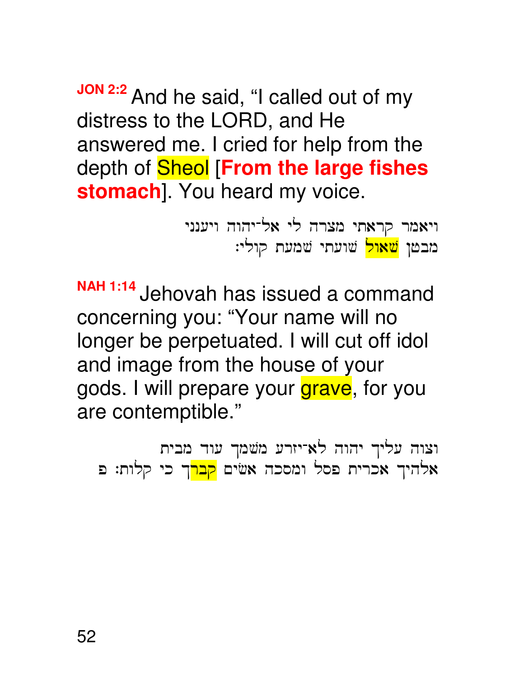JON 2:2 And he said, "I called out of my distress to the LORD, and He answered me. I cried for help from the depth of **Sheol** [From the large fishes stomach]. You heard my voice.

> ויאמר קראתי מצרה לי אל־יהוה ויענני מבטן <mark>שאול</mark> שועתי שמעת קולי:

NAH 1:14 Jehovah has issued a command concerning you: "Your name will no longer be perpetuated. I will cut off idol and image from the house of your gods. I will prepare your grave, for you are contemptible."

וצוה עליך יהוה לא־יזרע משמך עוד מבית אלהיך אכרית פסל ומסכה אשים <mark>קבר</mark>ך כי קלות: פ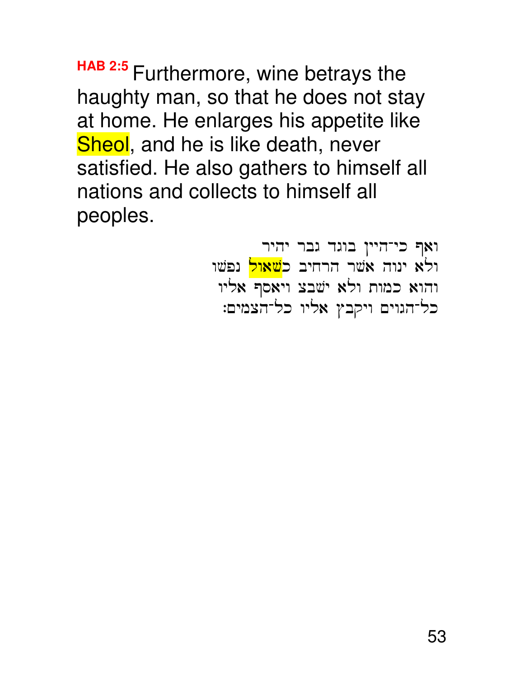**HAB 2:5** Furthermore, wine betrays the haughty man, so that he does not stay at home. He enlarges his appetite like Sheol, and he is like death, never satisfied. He also gathers to himself all nations and collects to himself all peoples.

> ואף כי־היין בוגד גבר יהיר ולא ינוה אשר הרחיב כ<mark>שאול</mark> נפשו והוא כמות ולא ישבצ ויאסף אליו כל־הגוים ויקבץ אליו כל־הצמים: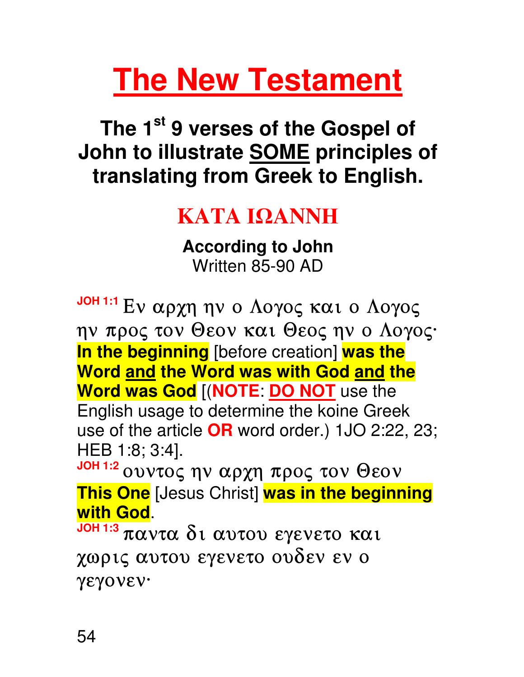# **The New Testament**

**The 1st 9 verses of the Gospel of John to illustrate SOME principles of translating from Greek to English.** 

## **KATA** ΙΩ**ANN**Η

**According to John**  Written 85-90 AD

JOH 1:1 Ev αρχη ην ο Λογος και ο Λογος ην προς τον Θεον και Θεος ην ο Λογος· **In the beginning** [before creation] **was the Word and the Word was with God and the Word was God** [(**NOTE**: **DO NOT** use the English usage to determine the koine Greek use of the article **OR** word order.) 1JO 2:22, 23; HEB 1:8; 3:4]. **JOH 1:2** ouvτος ην αρχη προς τον Θεον

**This One** [Jesus Christ] **was in the beginning with God**.

JOH 1:3 παντα δι αυτου εγενετο και χωρις αυτου εγενετο ουδεν εν ο γεγονεν·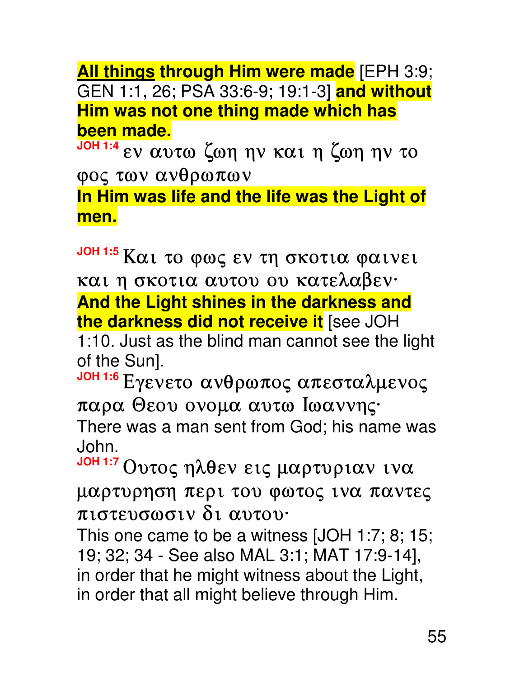**All things through Him were made** [EPH 3:9; GEN 1:1, 26; PSA 33:6-9; 19:1-3] **and without Him was not one thing made which has been made.** 

JOH 1:4 εν αυτω ζωη ην και η ζωη ην το φος των ανθρωπων

**In Him was life and the life was the Light of men.** 

**JOH 1:5** Kαι το φως εν τη σκοτια φαινει και η σκοτια αυτου ου κατελαβεν· **And the Light shines in the darkness and the darkness did not receive it** [see JOH

1:10. Just as the blind man cannot see the light of the Sun].

**JOH 1:6** EYEVETO ανθρωπος απεσταλμενος παρα Θεου ονομα αυτω Ιωαννης· There was a man sent from God; his name was

John.

 $J$ <sup>OH 1:7</sup> Ουτος ηλθεν εις μαρτυριαν ινα μαρτυρηση περι του φωτος ινα παντες πιστευσωσιν δι αυτου·

This one came to be a witness [JOH 1:7; 8; 15; 19; 32; 34 - See also MAL 3:1; MAT 17:9-14], in order that he might witness about the Light, in order that all might believe through Him.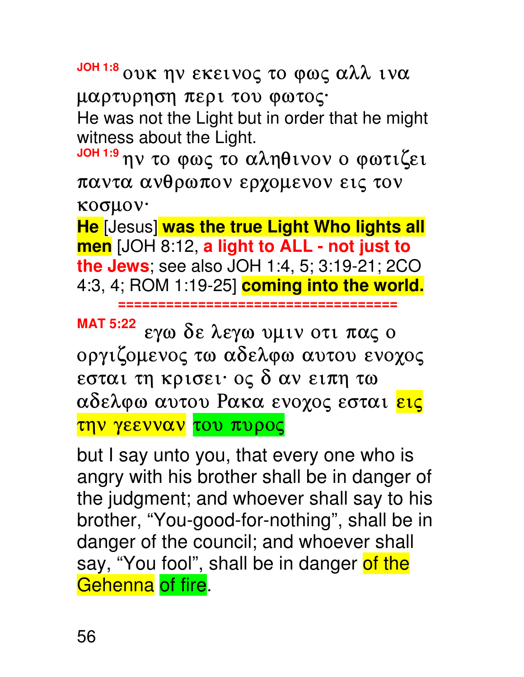56

but I say unto you, that every one who is angry with his brother shall be in danger of the judgment; and whoever shall say to his brother, "You-good-for-nothing", shall be in danger of the council; and whoever shall say, "You fool", shall be in danger of the Gehenna of fire.

**MAT 5:22** εγω δε λεγω υμιν οτι πας ο οργιζομενος τω αδελφω αυτου ενοχος εσται τη κρισει· ος δ αν ειπη τω αδελφω αυτου Ρακα ενοχος εσται <mark>εις</mark> <mark>την γεενναν</mark> του πυρος

κοσμον· He [Jesus] was the true Light Who lights all men [JOH 8:12, a light to ALL - not just to the Jews; see also JOH 1:4, 5; 3:19-21; 2CO 4:3, 4; ROM 1:19-25] coming into the world.

witness about the Light. JOH 1:9 ην το φως το αληθινον ο φωτιζει παντα ανθρωπον ερχομενον εις τον

<sup>JOH 1:8</sup> OUK ην εκεινος το φως αλλ ινα μαρτυρηση περι του φωτος· He was not the Light but in order that he might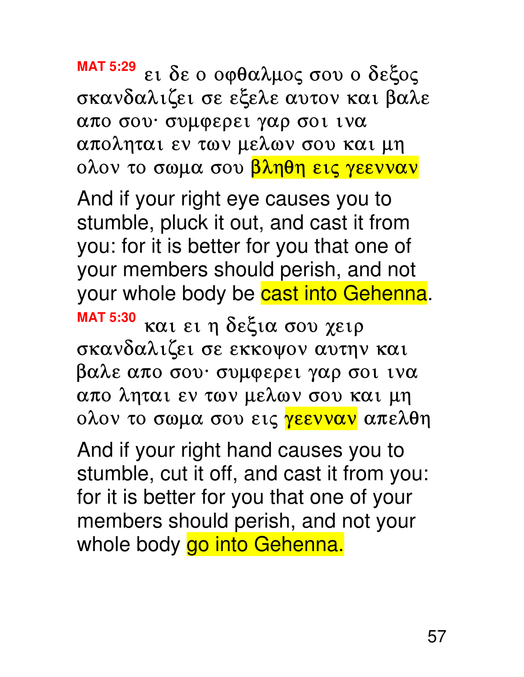**MAT 5:29** ει δε ο οφθαλμος σου ο δεξος σκανδαλιζει σε εξελε αυτον και βαλε απο σου· συμφερει γαρ σοι ινα αποληται εν των μελων σου και μη ολον το σωμα σου <mark>βληθη εις γεενναν</mark>

And if your right eye causes you to stumble, pluck it out, and cast it from you: for it is better for you that one of your members should perish, and not your whole body be cast into Gehenna. **MAT 5:30** Kαι ει η δεξια σου χειρ

σκανδαλιζει σε εκκοψον αυτην και βαλε απο σου· συμφερει γαρ σοι ινα απο ληται εν των μελων σου και μη ολον το σωμα σου εις <mark>γεενναν</mark> απελθη

And if your right hand causes you to stumble, cut it off, and cast it from you: for it is better for you that one of your members should perish, and not your whole body go into Gehenna.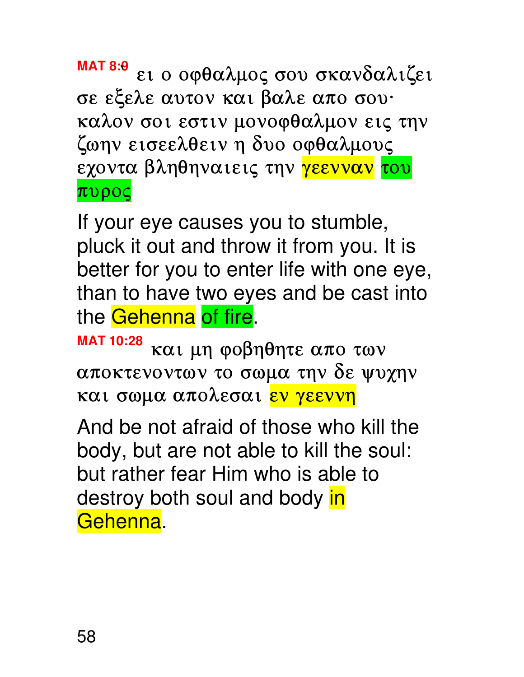MAT 8:9  $\varepsilon_1$  o οφθαλμος σου σκανδαλιζει σε εξελε αυτον και βαλε απο σου· καλον σοι εστιν μονοφθαλμον εις την ζωην εισεελθειν η δυο οφθαλμους εχοντα βληθηναιεις την <mark>γεενναν</mark> του πυρος

If your eye causes you to stumble, pluck it out and throw it from you. It is better for you to enter life with one eye, than to have two eyes and be cast into the Gehenna of fire.

**MAT** 10:28  $\kappa \alpha$ ι μη φοβηθητε απο των αποκτενοντων το σωμα την δε ψυχην και σωμα απολεσαι <mark>εν γεεννη</mark>

And be not afraid of those who kill the body, but are not able to kill the soul: but rather fear Him who is able to destroy both soul and body in Gehenna.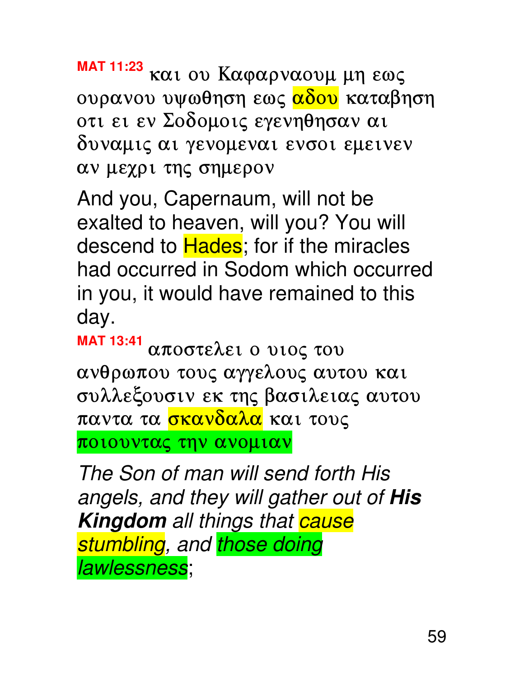MAT 11:23 και ου Καφαρναουμ μη εως ουρανου υψωθηση εως <mark>αδου</mark> καταβηση οτι ει εν Σοδομοις εγενηθησαν αι δυναμις αι γενομεναι ενσοι εμεινεν αν μεχρι της σημερον

And you, Capernaum, will not be exalted to heaven, will you? You will descend to **Hades**; for if the miracles had occurred in Sodom which occurred in you, it would have remained to this day.

 $MAT$  13:41  $\alpha\pi$ OOTE $\lambda$ EI O UIOG TOU ανθρωπου τους αγγελους αυτου και συλλεξουσιν εκ της βασιλειας αυτου παντα τα σκανδαλα και τους ποιουντας την ανομιαν

The Son of man will send forth His angels, and they will gather out of **His Kingdom** all things that **cause** stumbling, and those doing lawlessness;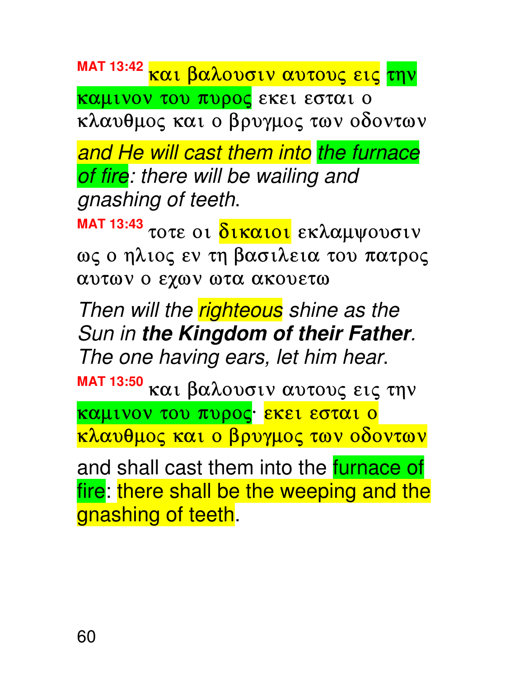MAT 13:42 Kai βαλουσιν αυτους εις την

καμινον του πυρος εκει εσται ο κλαυθμος και ο βρυγμος των οδοντων

and He will cast them into the furnace of fire: there will be wailing and gnashing of teeth.

**MAT 13:43** τοτε οι <mark>δικαιοι</mark> εκλαμψουσιν ως ο ηλιος εν τη βασιλεια του πατρος αυτων ο εχων ωτα ακουετω

Then will the righteous shine as the Sun in **the Kingdom of their Father**. The one having ears, let him hear.

**MAT 13:50 Kai βαλουσιν αυτους εις την** καμινον του πυρος<sup>.</sup> εκει εσται ο κλαυθμος και ο βρυγμος των οδοντων

and shall cast them into the *furnace* of fire: there shall be the weeping and the gnashing of teeth.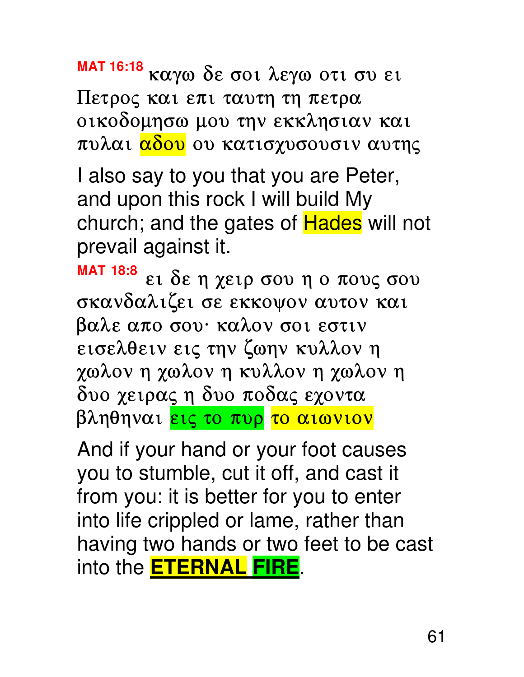**MAT 16:18** Kαγω δε σοι λεγω οτι συ ει Πετρος και επι ταυτη τη πετρα oikoδομησω μου την εκκλησιαν και πυλαι <mark>αδου</mark> ου κατισχυσουσιν αυτης

I also say to you that you are Peter, and upon this rock I will build My church; and the gates of **Hades** will not prevail against it.

**MAT 18:8**  $\epsilon_1$   $\delta \epsilon$   $\eta$   $\chi \epsilon_1 \rho$   $\sigma$  ou  $\eta$  o  $\pi$ oug  $\sigma$ ou σκανδαλιζει σε εκκοψον αυτον και βαλε απο σου· καλον σοι εστιν εισελθειν εις την ζωην κυλλον η χωλον η χωλον η κυλλον η χωλον η δυο χειρας η δυο ποδας εχοντα βληθηναι εις το πυρ το αιωνιον

And if your hand or your foot causes you to stumble, cut it off, and cast it from you: it is better for you to enter into life crippled or lame, rather than having two hands or two feet to be cast into the **ETERNAL FIRE**.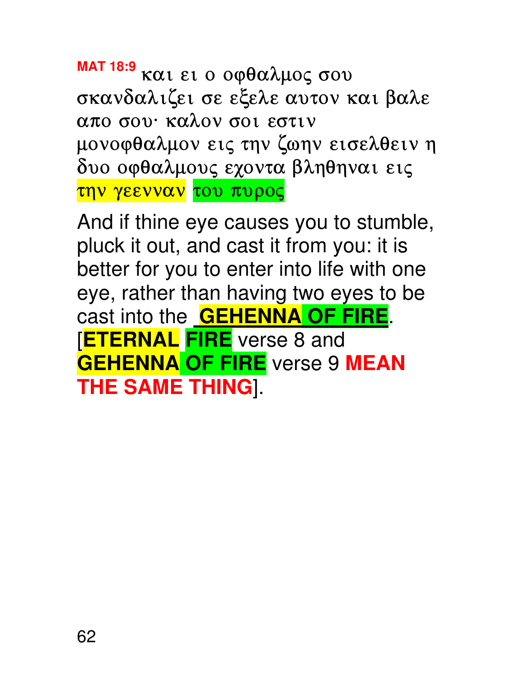## **MAT 18:9** KOU EI O OPOALUOS σου σκανδαλιζει σε εξελε αυτον και βαλε απο σου· καλον σοι εστιν μονοφθαλμον εις την ζωην εισελθειν η δυο οφθαλμους εχοντα βληθηναι εις <mark>την γεενναν</mark> του πυρος

And if thine eye causes you to stumble, pluck it out, and cast it from you: it is better for you to enter into life with one eye, rather than having two eyes to be cast into the **GEHENNA OF FIRE**. [**ETERNAL FIRE** verse 8 and **GEHENNA OF FIRE** verse 9 **MEAN THE SAME THING**].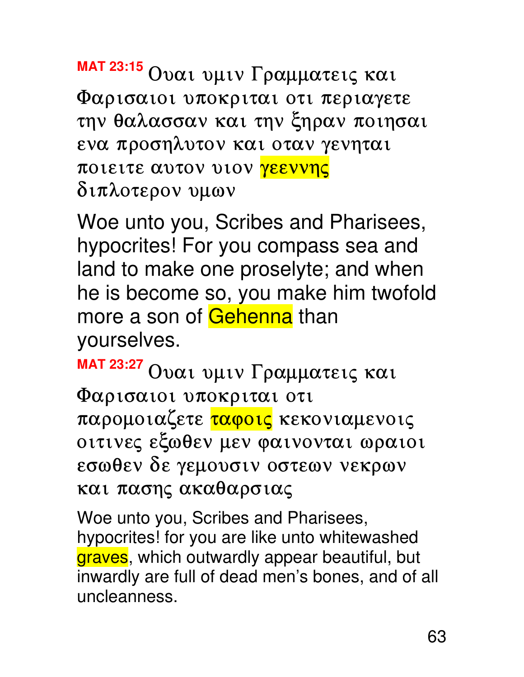### ΜΑΤ 23:15 Ουαι υμιν Γραμματεις και Φαρισαιοι υποκριται οτι περιαγετε την θαλασσαν και την ξηραν ποιησαι ενα προσηλυτον και οταν γενηται ποιειτε αυτον υιον γεεννης διπλοτερον υμων

Woe unto you, Scribes and Pharisees, hypocrites! For you compass sea and land to make one proselyte; and when he is become so, you make him twofold more a son of Gehenna than yourselves.

ΜΑΤ 23:27 Ουαι υμιν Γραμματεις και Φαρισαιοι υποκριται οτι παρομοιαζετε ταφοις κεκονιαμενοις οιτινες εξωθεν μεν φαινονται ωραιοι εσωθεν δε γεμουσιν οστεων νεκρων και πασης ακαθαρσιας

Woe unto you, Scribes and Pharisees, hypocrites! for you are like unto whitewashed graves, which outwardly appear beautiful, but inwardly are full of dead men's bones, and of all uncleanness.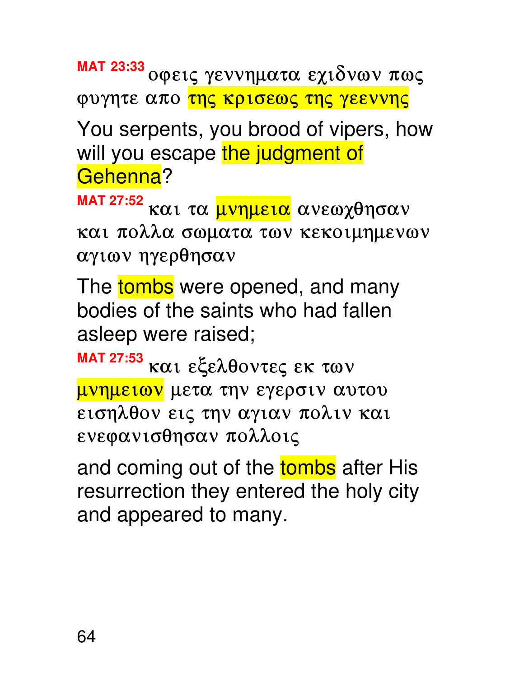MAT 23:33 *OQEIG γεννηματα εχιδνων πως* φυγητε απο <mark>της κρισεως της γεεννης</mark>

You serpents, you brood of vipers, how will you escape the judgment of Gehenna?

MAT 27:52 Kai τα μνημεια ανεωχθησαν και πολλα σωματα των κεκοιμημενων αγιων ηγερθησαν

The tombs were opened, and many bodies of the saints who had fallen asleep were raised;

 $MAT$  27:53  $KQ1$   $E\&E\&OV$ μνημειων μετα την εγερσιν αυτου εισηλθον εις την αγιαν πολιν και ενεφανισθησαν πολλοις

and coming out of the **tombs** after His resurrection they entered the holy city and appeared to many.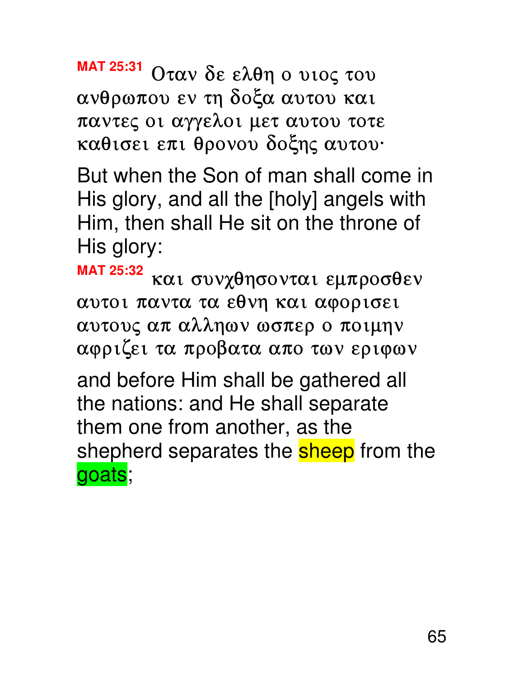MAT 25:31 Οταν δε ελθη ο υιος του ανθρωπου εν τη δοξα αυτου και παντες οι αγγελοι μετ αυτου τοτε καθισει επι θρονου δοξης αυτου·

But when the Son of man shall come in His glory, and all the [holy] angels with Him, then shall He sit on the throne of His glory:

**MAT 25:32** 

και συνχθησονται εμπροσθεν αυτοι παντα τα εθνη και αφορισει αυτους απ αλληων ωσπερ ο ποιμην αφριζει τα προβατα απο των εριφων

and before Him shall be gathered all the nations: and He shall separate them one from another, as the shepherd separates the **sheep** from the goats;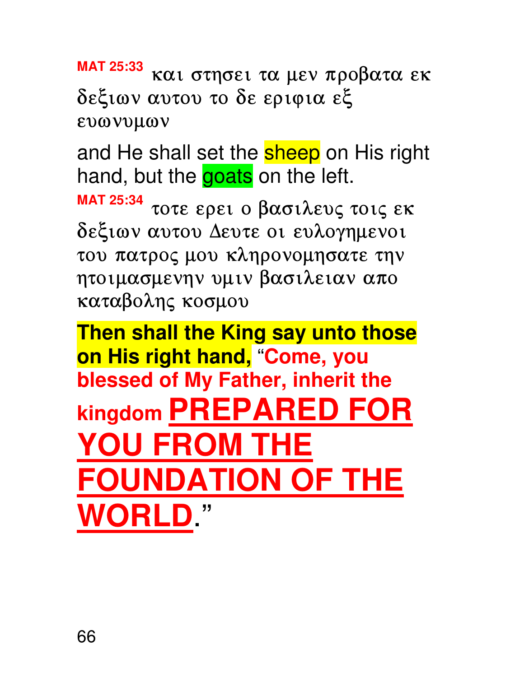MAT 25:33 Kai στησει τα μεν προβατα εκ δεξιων αυτου το δε εριφια εξ ευωνυμων

and He shall set the **sheep** on His right hand, but the goats on the left.

 $MAT$  25:34 TOTE EPEI O  $\beta\alpha\sigma$ *l*eve toie EK δεξιων αυτου Δευτε οι ευλογημενοι του πατρος μου κληρονομησατε την ητοιμασμενην υμιν βασιλειαν απο καταβολης κοσμου

**Then shall the King say unto those on His right hand,** "**Come, you blessed of My Father, inherit the kingdom PREPARED FOR YOU FROM THE FOUNDATION OF THE WORLD**."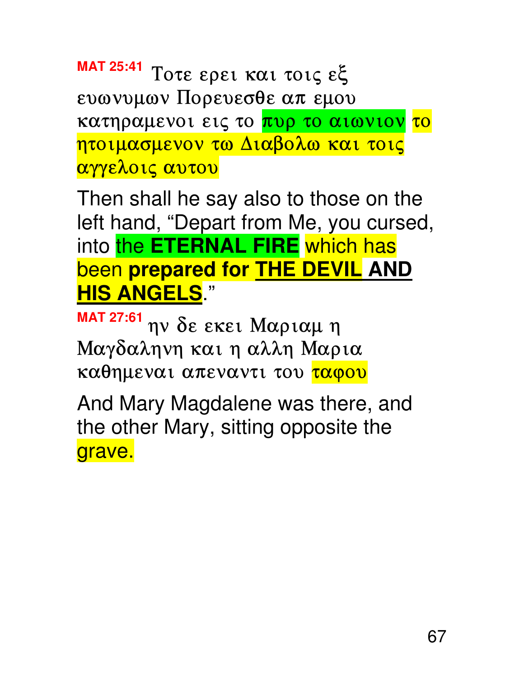**MAT 25:41 Τοτε ερει και τοις εξ** ευωνυμων Πορευεσθε απ εμου κατηραμενοι εις το <mark>πυρ το αιωνιον</mark> το ητοιμασμενον τω Διαβολω και τοις αγγελοις αυτου

Then shall he say also to those on the left hand, "Depart from Me, you cursed, into the **ETERNAL FIRE** which has been **prepared for THE DEVIL AND HIS ANGELS**."

**MAT 27:61** ην δε εκει Μαριαμ η Mαγδαληνη και η αλλη Μαρια καθημεναι απεναντι του ταφου

And Mary Magdalene was there, and the other Mary, sitting opposite the grave.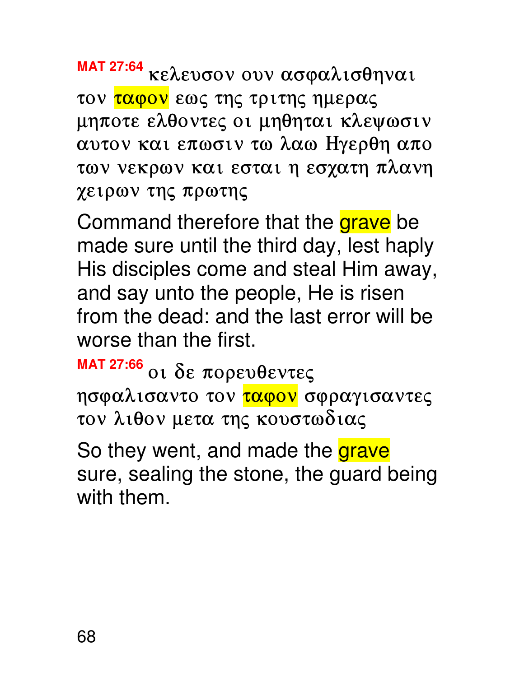MAT 27:64 KELEUGOV OUV ασφαλισθηναι τον <mark>ταφον</mark> εως της τριτης ημερας μηποτε ελθοντες οι μηθηται κλεψωσιν αυτον και επωσιν τω λαω Ηγερθη απο των νεκρων και εσται η εσχατη πλανη χειρων της πρωτης

Command therefore that the grave be made sure until the third day, lest haply His disciples come and steal Him away, and say unto the people, He is risen from the dead: and the last error will be worse than the first.

**MAT 27:66** 01 δε πορευθεντες ησφαλισαντο τον ταφον σφραγισαντες τον λιθον μετα της κουστωδιας

So they went, and made the grave sure, sealing the stone, the guard being with them.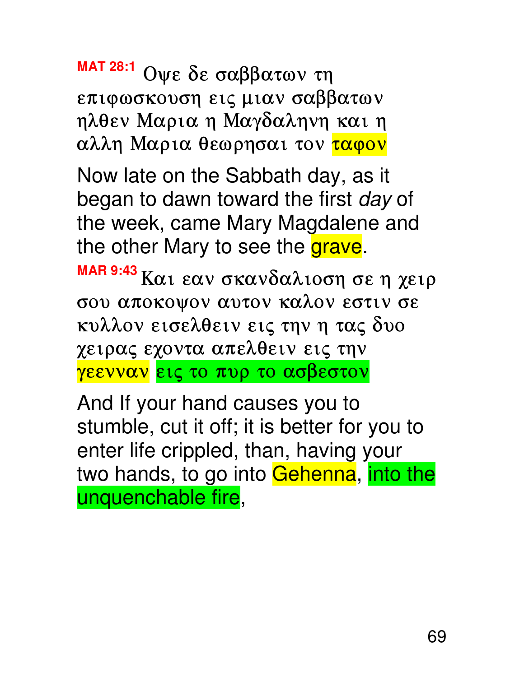**MAT 28:1 Οψε δε σαββατων τη** επιφωσκουση εις μιαν σαββατων ηλθεν Μαρια η Μαγδαληνη και η αλλη Μαρια θεωρησαι τον <mark>ταφον</mark>

Now late on the Sabbath day, as it began to dawn toward the first day of the week, came Mary Magdalene and the other Mary to see the grave.

MAR 9:43 Kai eav σκανδαλιοση σε η χειρ σου αποκοψον αυτον καλον εστιν σε κυλλον εισελθειν εις την η τας δυο χειρας εχοντα απελθειν εις την γεενναν εις το πυρ το ασβεστον

And If your hand causes you to stumble, cut it off; it is better for you to enter life crippled, than, having your two hands, to go into Gehenna, into the unquenchable fire,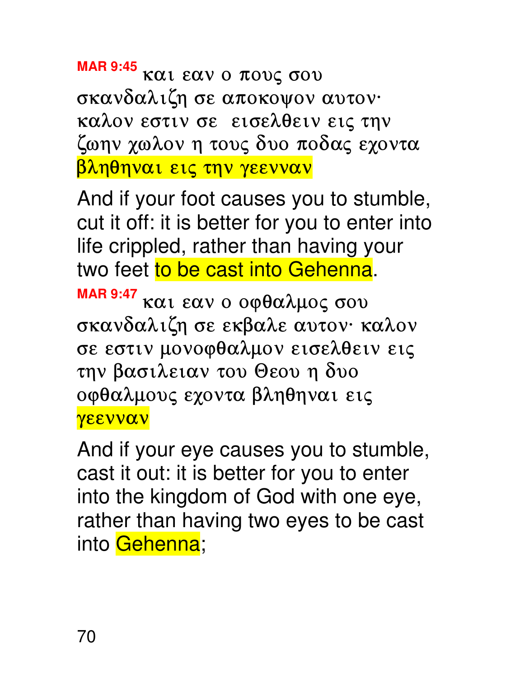**MAR 9:45 και εαν ο πους σου** σκανδαλιζη σε αποκοψον αυτον· καλον εστιν σε εισελθειν εις την ζωην χωλον η τους δυο ποδας εχοντα βληθηναι εις την γεενναν

And if your foot causes you to stumble, cut it off: it is better for you to enter into life crippled, rather than having your two feet to be cast into Gehenna.

**MAR 9:47 Ka1 Eav 0 0φθαλμος σου** σκανδαλιζη σε εκβαλε αυτον· καλον σε εστιν μονοφθαλμον εισελθειν εις την βασιλειαν του Θεου η δυο οφθαλμους εχοντα βληθηναι εις γεενναν

And if your eye causes you to stumble, cast it out: it is better for you to enter into the kingdom of God with one eye, rather than having two eyes to be cast into Gehenna;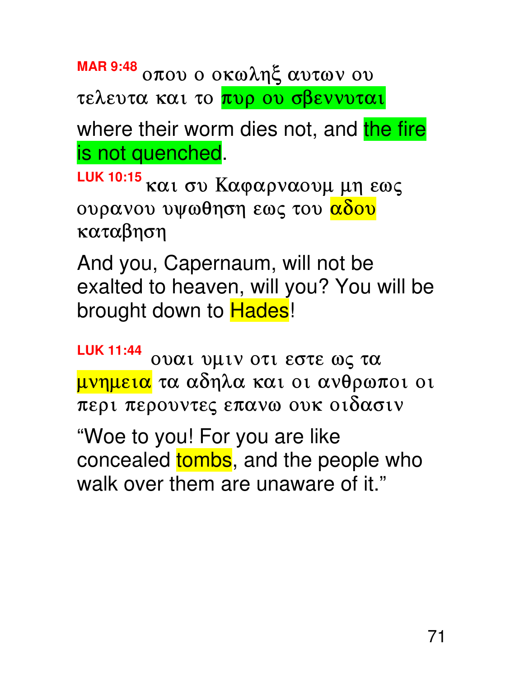MAR 9:48 Οπου ο οκωληξ αυτων ου τελευτα και το πυρ ου σβεννυται

where their worm dies not, and the fire is not quenched.

ιυκ 10:15 και συ Καφαρναουμ μη εως ουρανου υψωθηση εως του <mark>αδου</mark> καταβηση

And you, Capernaum, will not be exalted to heaven, will you? You will be brought down to **Hades!** 

LUK 11:44 OVAI ULIV OTI ETTE WS TA μνημεια τα αδηλα και οι ανθρωποι οι περι περουντες επανω ουκ οιδασιν

"Woe to you! For you are like concealed tombs, and the people who walk over them are unaware of it."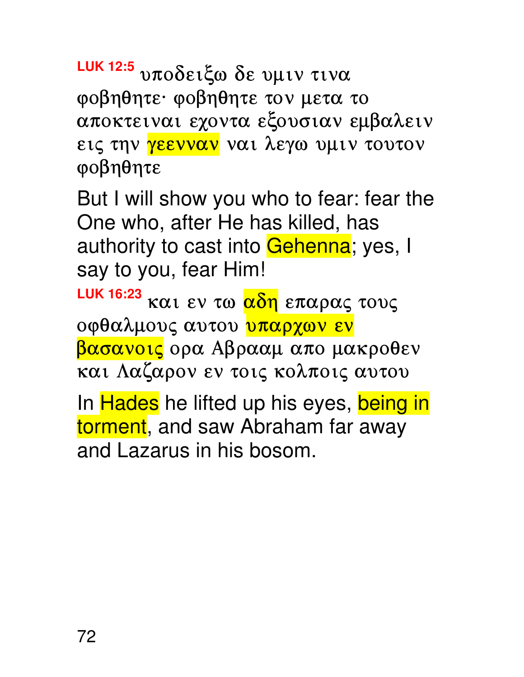LUK 12:5 υποδειξω δε υμιν τινα φοβηθητε· φοβηθητε τον μετα το αποκτειναι εχοντα εξουσιαν εμβαλειν εις την <mark>γεενναν</mark> ναι λεγω υμιν τουτον φοβηθητε

But I will show you who to fear: fear the One who, after He has killed, has authority to cast into Gehenna; yes, I say to you, fear Him!

LUK 16:23 **KAI EV TW <mark>αδη</mark> επαρας τους** oφθαλμους αυτου <mark>υπαρχων εν</mark> βασανοις ορα Αβρααμ απο μακροθεν και Λαζαρον εν τοις κολποις αυτου

In **Hades** he lifted up his eyes, being in torment, and saw Abraham far away and Lazarus in his bosom.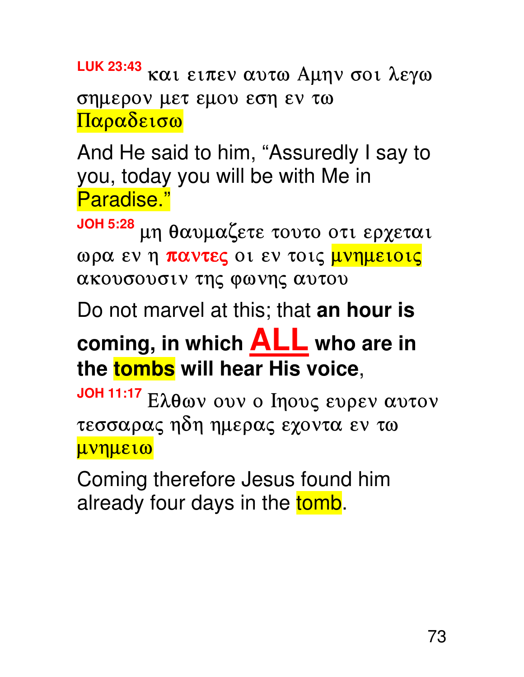**LUK 23:43 KAI EITEV AUTW Aµην σοι λεγω** σημερον μετ εμου εση εν τω Παραδεισω

And He said to him, "Assuredly I say to you, today you will be with Me in Paradise."

**JOH 5:28** μη θαυμαζετε τουτο οτι ερχεται ωρα εν η παντες οι εν τοις μνημειοις ακουσουσιν της φωνης αυτου

Do not marvel at this; that **an hour is** 

## **coming, in which ALL who are in the tombs will hear His voice**,

**JOH 11:17** Eλθων ουν ο Iηους ευρεν αυτον τεσσαρας ηδη ημερας εχοντα εν τω μνημειω

Coming therefore Jesus found him already four days in the tomb.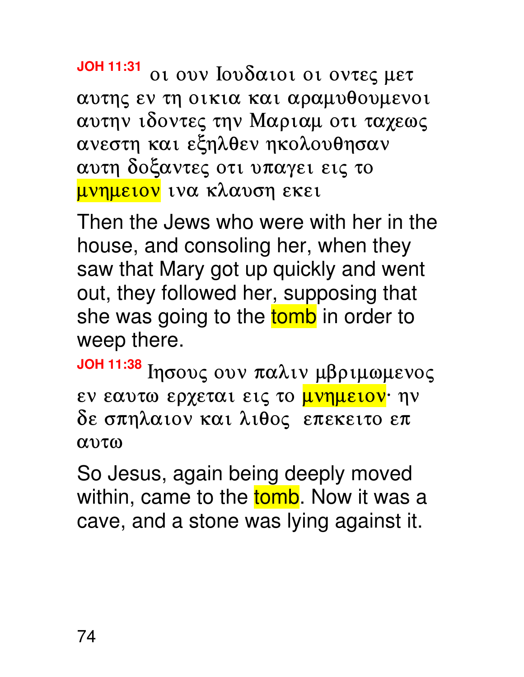## $JOH$  11:31 ot ouv  $Iov\delta\alpha$  tot of ovteg  $\mu$ et αυτης εν τη οικια και αραμυθουμενοι αυτην ιδοντες την Μαριαμ οτι ταχεως ανεστη και εξηλθεν ηκολουθησαν αυτη δοξαντες οτι υπαγει εις το <mark>μνημειον</mark> ινα κλαυση εκει

Then the Jews who were with her in the house, and consoling her, when they saw that Mary got up quickly and went out, they followed her, supposing that she was going to the tomb in order to weep there.

**JOH 11:38** Inσους ουν παλιν μβριμωμενος εν εαυτω ερχεται εις το <mark>μνημειον</mark>· ην δε σπηλαιον και λιθος επεκειτο επ  $\alpha$ vt $\alpha$ 

So Jesus, again being deeply moved within, came to the tomb. Now it was a cave, and a stone was lying against it.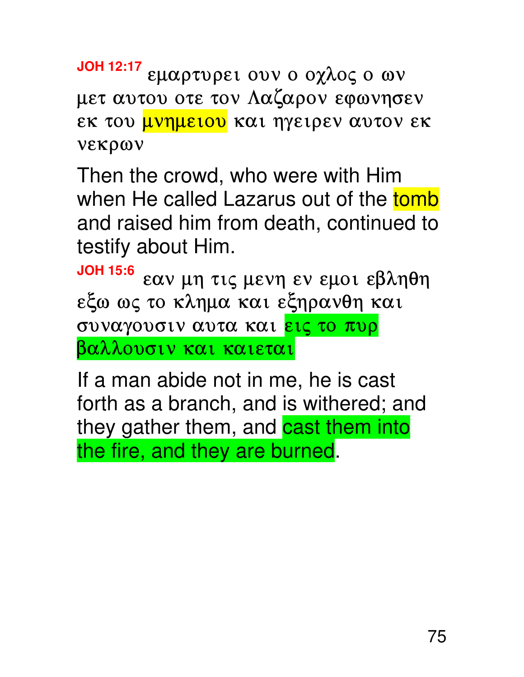JOH 12:17 εμαρτυρει ουν ο οχλος ο ων μετ αυτου οτε τον Λαζαρον εφωνησεν εκ του <mark>μνημειου</mark> και ηγειρεν αυτον εκ νεκρων

Then the crowd, who were with Him when He called Lazarus out of the tomb and raised him from death, continued to testify about Him.

**JOH 15:6** 

εαν μη τις μενη εν εμοι εβληθη εξω ως το κλημα και εξηρανθη και συναγουσιν αυτα και <mark>εις το πυρ</mark>

βαλλουσιν και καιεται

If a man abide not in me, he is cast forth as a branch, and is withered; and they gather them, and cast them into the fire, and they are burned.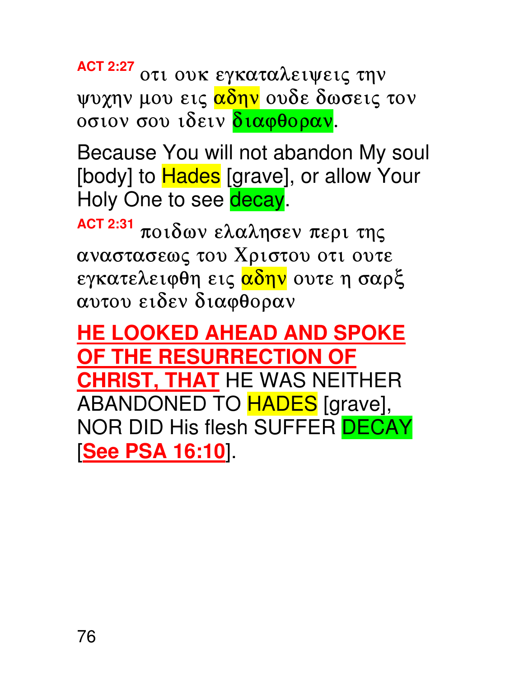**ACT 2:27** OTI OUK EYKATALEIVEIS THU γυχην μου εις <mark>αδην</mark> ουδε δωσεις τον οσιον σου ιδειν διαφθοραν.

Because You will not abandon My soul [body] to **Hades** [grave], or allow Your Holy One to see decay.

**ACT 2:31** ποιδων ελαλησεν περι της αναστασεως του Χριστου οτι ουτε εγκατελειφθη εις <mark>αδην</mark> ουτε η σαρξ αυτου ειδεν διαφθοραν

**HE LOOKED AHEAD AND SPOKE OF THE RESURRECTION OF CHRIST, THAT** HE WAS NEITHER ABANDONED TO **HADES** [grave], NOR DID His flesh SUFFER DECAY [**See PSA 16:10**].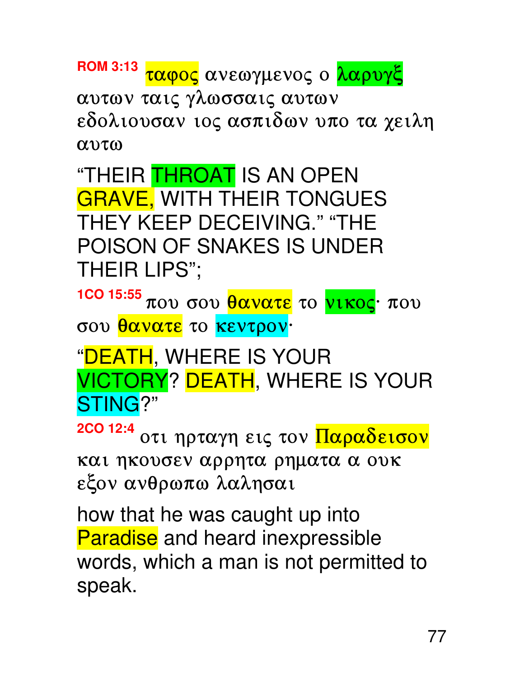ROM 3:13 Tapos avewy Levos o λαρυγξ αυτων ταις γλωσσαις αυτων εδολιουσαν ιος ασπιδων υπο τα χειλη

 $\alpha$ v $\tau$  $\alpha$ 

"THEIR THROAT IS AN OPEN **GRAVE, WITH THEIR TONGUES** THEY KEEP DECEIVING." "THE POISON OF SNAKES IS UNDER THEIR LIPS";

**1CO 15:55** που σου <mark>θανατε</mark> το <mark>νικος</mark>· που σου θανατε το κεντρον·

"DEATH, WHERE IS YOUR VICTORY? DEATH, WHERE IS YOUR STING?"

2CO 12:4 oτι ηρταγη εις τον Παραδεισον και ηκουσεν αρρητα ρηματα α ουκ εξον ανθρωπω λαλησαι

how that he was caught up into **Paradise** and heard inexpressible words, which a man is not permitted to speak.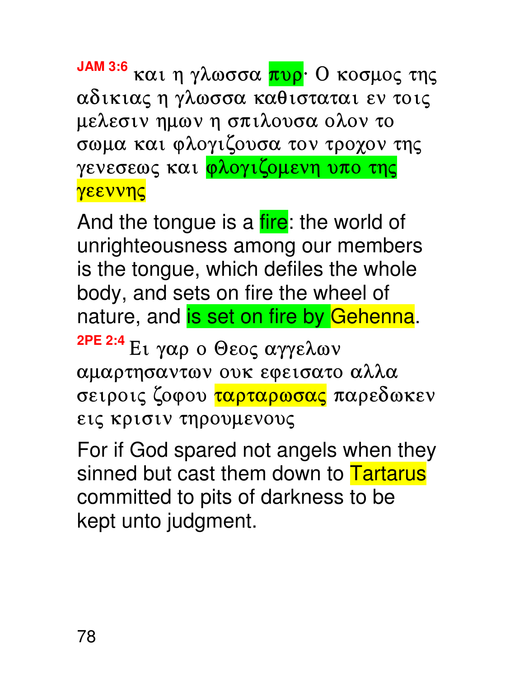JAM 3:6 και η γλωσσα <mark>πυρ</mark>· Ο κοσμος της αδικιας η γλωσσα καθισταται εν τοις μελεσιν ημων η σπιλουσα ολον το σωμα και φλογιζουσα τον τροχον της γενεσεως και <mark>φλογιζομενη υπο της</mark> γεεννης

And the tongue is a fire: the world of unrighteousness among our members is the tongue, which defiles the whole body, and sets on fire the wheel of nature, and is set on fire by Gehenna. 2PE 2:4 Eι γαρ ο Θεος αγγελων

αμαρτησαντων ουκ εφεισατο αλλα σειροις ζοφου ταρταρωσας παρεδωκεν εις κρισιν τηρουμενους

For if God spared not angels when they sinned but cast them down to Tartarus committed to pits of darkness to be kept unto judgment.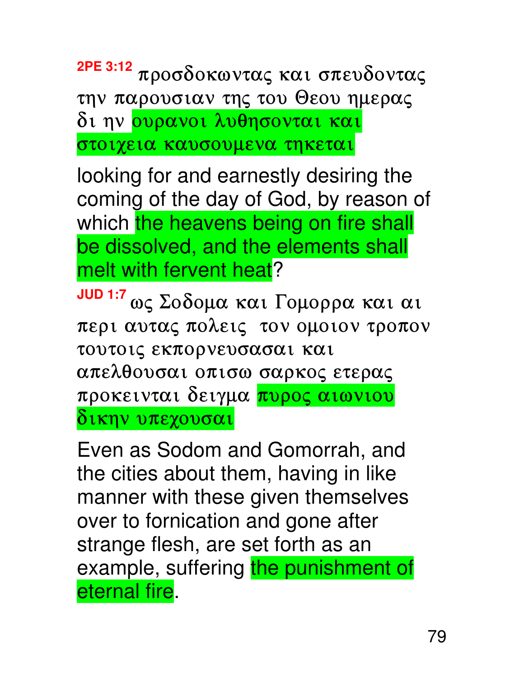2PE 3:12 προσδοκωντας και σπευδοντας την παρουσιαν της του Θεου ημερας δι ην ουρανοι λυθησονται και στοιχεια καυσουμενα τηκεται

looking for and earnestly desiring the coming of the day of God, by reason of which the heavens being on fire shall be dissolved, and the elements shall melt with fervent heat?

JUD 1:7 ως Σοδομα και Γομορρα και αι περι αυτας πολεις τον ομοιον τροπον τουτοις εκπορνευσασαι και απελθουσαι οπισω σαρκος ετερας προκεινται δειγμα πυρος αιωνιου δικην υπεχουσαι

Even as Sodom and Gomorrah, and the cities about them, having in like manner with these given themselves over to fornication and gone after strange flesh, are set forth as an example, suffering the punishment of eternal fire.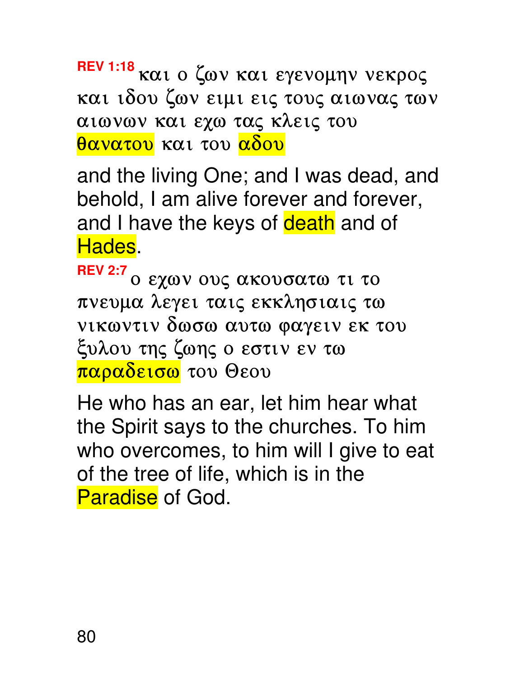REV 1:18 **Kai o ζων και εγενομην νεκρος** και ιδου ζων ειμι εις τους αιωνας των αιωνων και εχω τας κλεις του θανατου και του <mark>αδου</mark>

and the living One; and I was dead, and behold, I am alive forever and forever, and I have the keys of death and of Hades.

**REV 2:7**  $\mathrm{o}$  **εχων ους ακουσατω τι το** πνευμα λεγει ταις εκκλησιαις τω νικωντιν δωσω αυτω φαγειν εκ του ξυλου της ζωης ο εστιν εν τω παραδεισω του Θεου

He who has an ear, let him hear what the Spirit says to the churches. To him who overcomes, to him will I give to eat of the tree of life, which is in the Paradise of God.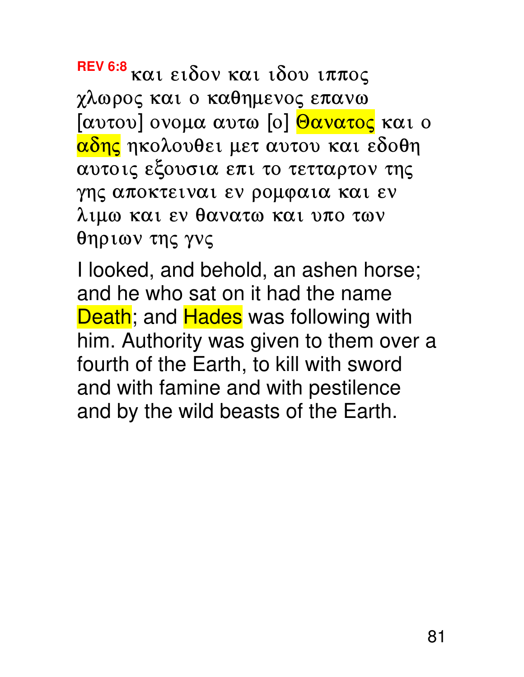REV 6:8 KQ1 ειδον και ιδου ιππος χλωρος και ο καθημενος επανω [αυτου] ονομα αυτω [o] **Θανατος** και ο <mark>αδης</mark> ηκολουθει μετ αυτου και εδοθη αυτοις εξουσια επι το τετταρτον της γης αποκτειναι εν ρομφαια και εν λιμω και εν θανατω και υπο των θηριων της γνς

I looked, and behold, an ashen horse; and he who sat on it had the name Death; and Hades was following with him. Authority was given to them over a fourth of the Earth, to kill with sword and with famine and with pestilence and by the wild beasts of the Earth.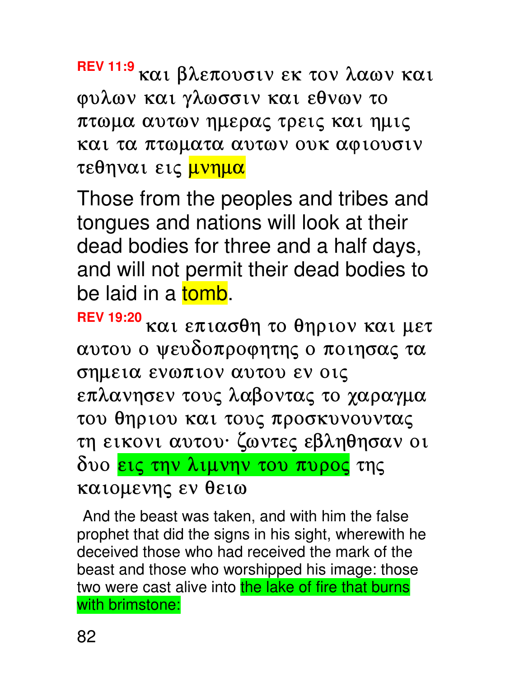REV 11:9 **KAI βλεπουσιν εκ τον λαων και** φυλων και γλωσσιν και εθνων το πτωμα αυτων ημερας τρεις και ημις και τα πτωματα αυτων ουκ αφιουσιν τεθηναι εις <mark>μνημα</mark>

Those from the peoples and tribes and tongues and nations will look at their dead bodies for three and a half days, and will not permit their dead bodies to be laid in a tomb.

REV 19:20 **KAI ETTAGON** το θηριον και μετ αυτου ο ψευδοπροφητης ο ποιησας τα σημεια ενωπιον αυτου εν οις επλανησεν τους λαβοντας το χαραγμα του θηριου και τους προσκυνουντας τη εικονι αυτου· ζωντες εβληθησαν οι δυο εις την λιμνην του πυρος της καιομενης εν θειω

And the beast was taken, and with him the false prophet that did the signs in his sight, wherewith he deceived those who had received the mark of the beast and those who worshipped his image: those two were cast alive into the lake of fire that burns with brimstone: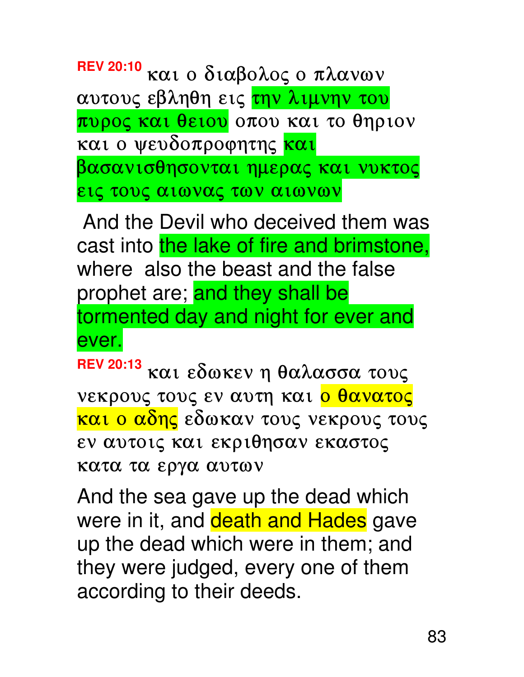REV 20:10 Kai o διαβολος ο πλανων αυτους εβληθη εις την λιμνην του πυρος και θειου οπου και το θηριον και ο ψευδοπροφητης και βασανισθησονται ημερας και νυκτος εις τους αιωνας των αιωνων

 And the Devil who deceived them was cast into the lake of fire and brimstone, where also the beast and the false prophet are; and they shall be tormented day and night for ever and ever.

REV 20:13 Kai εδωκεν η θαλασσα τους νεκρους τους εν αυτη και <mark>ο θανατος</mark> και ο αδης εδωκαν τους νεκρους τους εν αυτοις και εκριθησαν εκαστος κατα τα εργα αυτων

And the sea gave up the dead which were in it, and death and Hades gave up the dead which were in them; and they were judged, every one of them according to their deeds.